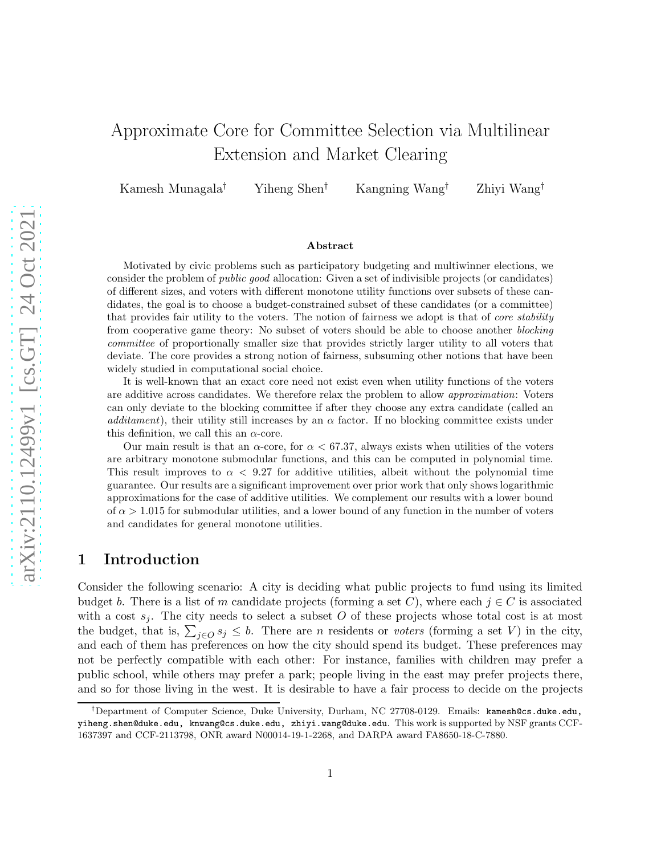# Approximate Core for Committee Selection via Multilinear Extension and Market Clearing

Kamesh Munagala† Yiheng Shen† Kangning Wang† Zhiyi Wang†

#### Abstract

Motivated by civic problems such as participatory budgeting and multiwinner elections, we consider the problem of *public good* allocation: Given a set of indivisible projects (or candidates) of different sizes, and voters with different monotone utility functions over subsets of these candidates, the goal is to choose a budget-constrained subset of these candidates (or a committee) that provides fair utility to the voters. The notion of fairness we adopt is that of *core stability* from cooperative game theory: No subset of voters should be able to choose another *blocking committee* of proportionally smaller size that provides strictly larger utility to all voters that deviate. The core provides a strong notion of fairness, subsuming other notions that have been widely studied in computational social choice.

It is well-known that an exact core need not exist even when utility functions of the voters are additive across candidates. We therefore relax the problem to allow *approximation*: Voters can only deviate to the blocking committee if after they choose any extra candidate (called an *additament*), their utility still increases by an  $\alpha$  factor. If no blocking committee exists under this definition, we call this an  $\alpha$ -core.

Our main result is that an  $\alpha$ -core, for  $\alpha < 67.37$ , always exists when utilities of the voters are arbitrary monotone submodular functions, and this can be computed in polynomial time. This result improves to  $\alpha < 9.27$  for additive utilities, albeit without the polynomial time guarantee. Our results are a significant improvement over prior work that only shows logarithmic approximations for the case of additive utilities. We complement our results with a lower bound of  $\alpha > 1.015$  for submodular utilities, and a lower bound of any function in the number of voters and candidates for general monotone utilities.

# 1 Introduction

Consider the following scenario: A city is deciding what public projects to fund using its limited budget b. There is a list of m candidate projects (forming a set C), where each  $j \in C$  is associated with a cost  $s_j$ . The city needs to select a subset O of these projects whose total cost is at most the budget, that is,  $\sum_{j\in\mathcal{Q}} s_j \leq b$ . There are *n* residents or *voters* (forming a set V) in the city, and each of them has preferences on how the city should spend its budget. These preferences may not be perfectly compatible with each other: For instance, families with children may prefer a public school, while others may prefer a park; people living in the east may prefer projects there, and so for those living in the west. It is desirable to have a fair process to decide on the projects

<sup>†</sup>Department of Computer Science, Duke University, Durham, NC 27708-0129. Emails: kamesh@cs.duke.edu, yiheng.shen@duke.edu, knwang@cs.duke.edu, zhiyi.wang@duke.edu. This work is supported by NSF grants CCF-1637397 and CCF-2113798, ONR award N00014-19-1-2268, and DARPA award FA8650-18-C-7880.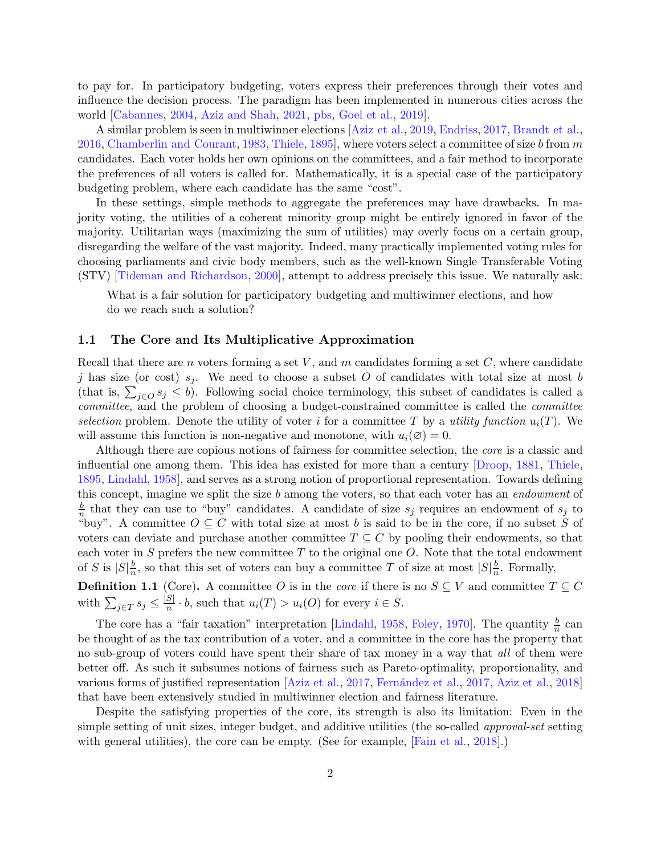to pay for. In participatory budgeting, voters express their preferences through their votes and influence the decision process. The paradigm has been implemented in numerous cities across the world [\[Cabannes](#page-27-0), [2004](#page-27-0), [Aziz and Shah,](#page-26-0) [2021](#page-26-0), [pbs](#page-26-1), [Goel et al.](#page-28-0), [2019](#page-28-0)].

A similar problem is seen in multiwinner elections [\[Aziz et al.](#page-26-2), [2019](#page-26-2), [Endriss,](#page-28-1) [2017,](#page-28-1) [Brandt et al.](#page-27-1), [2016,](#page-27-1) [Chamberlin and Courant](#page-27-2), [1983](#page-27-2), [Thiele,](#page-28-2) [1895](#page-28-2), where voters select a committee of size b from m candidates. Each voter holds her own opinions on the committees, and a fair method to incorporate the preferences of all voters is called for. Mathematically, it is a special case of the participatory budgeting problem, where each candidate has the same "cost".

In these settings, simple methods to aggregate the preferences may have drawbacks. In majority voting, the utilities of a coherent minority group might be entirely ignored in favor of the majority. Utilitarian ways (maximizing the sum of utilities) may overly focus on a certain group, disregarding the welfare of the vast majority. Indeed, many practically implemented voting rules for choosing parliaments and civic body members, such as the well-known Single Transferable Voting (STV) [\[Tideman and Richardson,](#page-29-0) [2000\]](#page-29-0), attempt to address precisely this issue. We naturally ask:

What is a fair solution for participatory budgeting and multiwinner elections, and how do we reach such a solution?

# 1.1 The Core and Its Multiplicative Approximation

Recall that there are n voters forming a set V, and m candidates forming a set C, where candidate j has size (or cost)  $s_j$ . We need to choose a subset O of candidates with total size at most b (that is,  $\sum_{j\in O} s_j \leq b$ ). Following social choice terminology, this subset of candidates is called a *committee*, and the problem of choosing a budget-constrained committee is called the *committee selection* problem. Denote the utility of voter i for a committee T by a *utility function*  $u_i(T)$ . We will assume this function is non-negative and monotone, with  $u_i(\emptyset) = 0$ .

Although there are copious notions of fairness for committee selection, the *core* is a classic and influential one among them. This idea has existed for more than a century [\[Droop](#page-27-3), [1881](#page-27-3), [Thiele](#page-28-2), [1895,](#page-28-2) [Lindahl](#page-28-3), [1958\]](#page-28-3), and serves as a strong notion of proportional representation. Towards defining this concept, imagine we split the size b among the voters, so that each voter has an *endowment* of b  $\frac{b}{n}$  that they can use to "buy" candidates. A candidate of size  $s_j$  requires an endowment of  $s_j$  to "buy". A committee  $O \subseteq C$  with total size at most b is said to be in the core, if no subset S of voters can deviate and purchase another committee  $T \subseteq C$  by pooling their endowments, so that each voter in S prefers the new committee  $T$  to the original one  $O$ . Note that the total endowment of S is  $|S|\frac{b}{n}$  $\frac{b}{n}$ , so that this set of voters can buy a committee T of size at most  $|S|\frac{b}{n}$  $\frac{b}{n}$ . Formally,

<span id="page-1-0"></span>**Definition 1.1** (Core). A committee O is in the *core* if there is no  $S \subseteq V$  and committee  $T \subseteq C$ with  $\sum_{j\in T} s_j \leq \frac{|S|}{n} \cdot b$ , such that  $u_i(T) > u_i(O)$  for every  $i \in S$ .

The core has a "fair taxation" interpretation [\[Lindahl](#page-28-3), [1958,](#page-28-3) [Foley,](#page-28-4) [1970](#page-28-4)]. The quantity  $\frac{b}{n}$  can be thought of as the tax contribution of a voter, and a committee in the core has the property that no sub-group of voters could have spent their share of tax money in a way that *all* of them were better off. As such it subsumes notions of fairness such as Pareto-optimality, proportionality, and various forms of justified representation [\[Aziz et al.,](#page-26-3) [2017,](#page-28-5) Fernández et al., 2017, [Aziz et al.,](#page-26-4) [2018](#page-26-4)] that have been extensively studied in multiwinner election and fairness literature.

Despite the satisfying properties of the core, its strength is also its limitation: Even in the simple setting of unit sizes, integer budget, and additive utilities (the so-called *approval-set* setting with general utilities), the core can be empty. (See for example, [Fain et al., 2018].)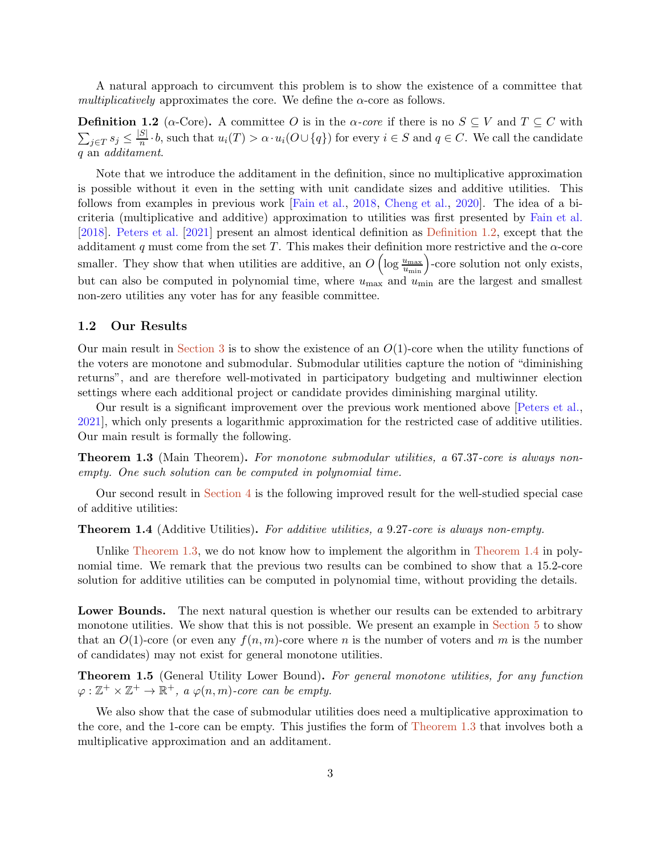<span id="page-2-0"></span>A natural approach to circumvent this problem is to show the existence of a committee that *multiplicatively* approximates the core. We define the  $\alpha$ -core as follows.

**Definition 1.2** ( $\alpha$ -Core). A committee O is in the  $\alpha$ -core if there is no  $S \subseteq V$  and  $T \subseteq C$  with  $\sum_{j\in T} s_j \leq \frac{|S|}{n} \cdot b$ , such that  $u_i(T) > \alpha \cdot u_i(O \cup \{q\})$  for every  $i \in S$  and  $q \in C$ . We call the candidate q an *additament*.

Note that we introduce the additament in the definition, since no multiplicative approximation is possible without it even in the setting with unit candidate sizes and additive utilities. This follows from examples in previous work [Fain et al., 2018, Cheng et al., 2020]. The idea of a bicriteria (multiplicative and additive) approximation to utilities was first presented by Fain et al. [2018]. Peters et al. [2021] present an almost identical definition as [Definition 1.2,](#page-2-0) except that the additament q must come from the set T. This makes their definition more restrictive and the  $\alpha$ -core smaller. They show that when utilities are additive, an  $O\left(\log \frac{u_{\text{max}}}{u_{\text{min}}}\right)$ -core solution not only exists, but can also be computed in polynomial time, where  $u_{\text{max}}$  and  $u_{\text{min}}$  are the largest and smallest non-zero utilities any voter has for any feasible committee.

# 1.2 Our Results

Our main result in [Section 3](#page-6-0) is to show the existence of an  $O(1)$ -core when the utility functions of the voters are monotone and submodular. Submodular utilities capture the notion of "diminishing returns", and are therefore well-motivated in participatory budgeting and multiwinner election settings where each additional project or candidate provides diminishing marginal utility.

Our result is a significant improvement over the previous work mentioned above [Peters et al., 2021], which only presents a logarithmic approximation for the restricted case of additive utilities. Our main result is formally the following.

<span id="page-2-1"></span>Theorem 1.3 (Main Theorem). *For monotone submodular utilities, a* 67.37*-core is always nonempty. One such solution can be computed in polynomial time.*

<span id="page-2-2"></span>Our second result in [Section 4](#page-19-0) is the following improved result for the well-studied special case of additive utilities:

#### Theorem 1.4 (Additive Utilities). *For additive utilities, a* 9.27*-core is always non-empty.*

Unlike [Theorem 1.3,](#page-2-1) we do not know how to implement the algorithm in [Theorem 1.4](#page-2-2) in polynomial time. We remark that the previous two results can be combined to show that a 15.2-core solution for additive utilities can be computed in polynomial time, without providing the details.

Lower Bounds. The next natural question is whether our results can be extended to arbitrary monotone utilities. We show that this is not possible. We present an example in [Section 5](#page-24-0) to show that an  $O(1)$ -core (or even any  $f(n, m)$ -core where n is the number of voters and m is the number of candidates) may not exist for general monotone utilities.

<span id="page-2-3"></span>Theorem 1.5 (General Utility Lower Bound). *For general monotone utilities, for any function*  $\varphi : \mathbb{Z}^+ \times \mathbb{Z}^+ \to \mathbb{R}^+$ , a  $\varphi(n,m)$ -core can be empty.

We also show that the case of submodular utilities does need a multiplicative approximation to the core, and the 1-core can be empty. This justifies the form of [Theorem 1.3](#page-2-1) that involves both a multiplicative approximation and an additament.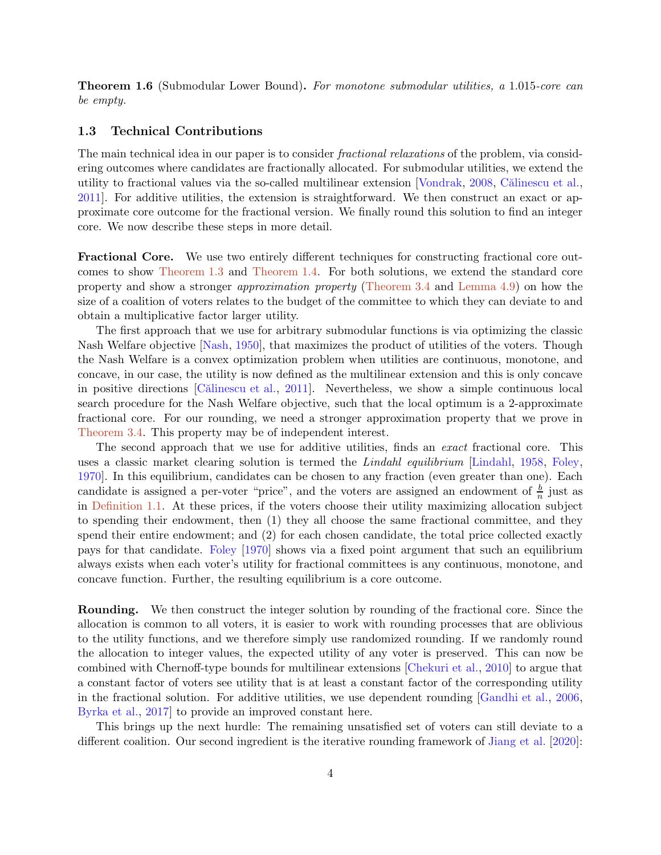Theorem 1.6 (Submodular Lower Bound). *For monotone submodular utilities, a* 1.015*-core can be empty.*

# 1.3 Technical Contributions

The main technical idea in our paper is to consider *fractional relaxations* of the problem, via considering outcomes where candidates are fractionally allocated. For submodular utilities, we extend the utility to fractional values via the so-called multilinear extension [\[Vondrak](#page-29-1), [2008,](#page-29-1) Călinescu et al., [2011\]](#page-27-4). For additive utilities, the extension is straightforward. We then construct an exact or approximate core outcome for the fractional version. We finally round this solution to find an integer core. We now describe these steps in more detail.

Fractional Core. We use two entirely different techniques for constructing fractional core outcomes to show [Theorem 1.3](#page-2-1) and [Theorem 1.4.](#page-2-2) For both solutions, we extend the standard core property and show a stronger *approximation property* [\(Theorem 3.4](#page-8-0) and [Lemma 4.9\)](#page-23-0) on how the size of a coalition of voters relates to the budget of the committee to which they can deviate to and obtain a multiplicative factor larger utility.

The first approach that we use for arbitrary submodular functions is via optimizing the classic Nash Welfare objective [\[Nash,](#page-28-6) [1950](#page-28-6)], that maximizes the product of utilities of the voters. Though the Nash Welfare is a convex optimization problem when utilities are continuous, monotone, and concave, in our case, the utility is now defined as the multilinear extension and this is only concave in positive directions [Călinescu et al., [2011\]](#page-27-4). Nevertheless, we show a simple continuous local search procedure for the Nash Welfare objective, such that the local optimum is a 2-approximate fractional core. For our rounding, we need a stronger approximation property that we prove in [Theorem 3.4.](#page-8-0) This property may be of independent interest.

The second approach that we use for additive utilities, finds an *exact* fractional core. This uses a classic market clearing solution is termed the *Lindahl equilibrium* [\[Lindahl,](#page-28-3) [1958](#page-28-3), [Foley](#page-28-4), [1970\]](#page-28-4). In this equilibrium, candidates can be chosen to any fraction (even greater than one). Each candidate is assigned a per-voter "price", and the voters are assigned an endowment of  $\frac{b}{n}$  just as in [Definition 1.1.](#page-1-0) At these prices, if the voters choose their utility maximizing allocation subject to spending their endowment, then (1) they all choose the same fractional committee, and they spend their entire endowment; and (2) for each chosen candidate, the total price collected exactly pays for that candidate. [Foley](#page-28-4) [\[1970](#page-28-4)] shows via a fixed point argument that such an equilibrium always exists when each voter's utility for fractional committees is any continuous, monotone, and concave function. Further, the resulting equilibrium is a core outcome.

Rounding. We then construct the integer solution by rounding of the fractional core. Since the allocation is common to all voters, it is easier to work with rounding processes that are oblivious to the utility functions, and we therefore simply use randomized rounding. If we randomly round the allocation to integer values, the expected utility of any voter is preserved. This can now be combined with Chernoff-type bounds for multilinear extensions [\[Chekuri et al.](#page-27-5), [2010](#page-27-5)] to argue that a constant factor of voters see utility that is at least a constant factor of the corresponding utility in the fractional solution. For additive utilities, we use dependent rounding [\[Gandhi et al.,](#page-28-7) [2006](#page-28-7), Byrka et al., 2017] to provide an improved constant here.

This brings up the next hurdle: The remaining unsatisfied set of voters can still deviate to a different coalition. Our second ingredient is the iterative rounding framework of Jiang et al. [2020]: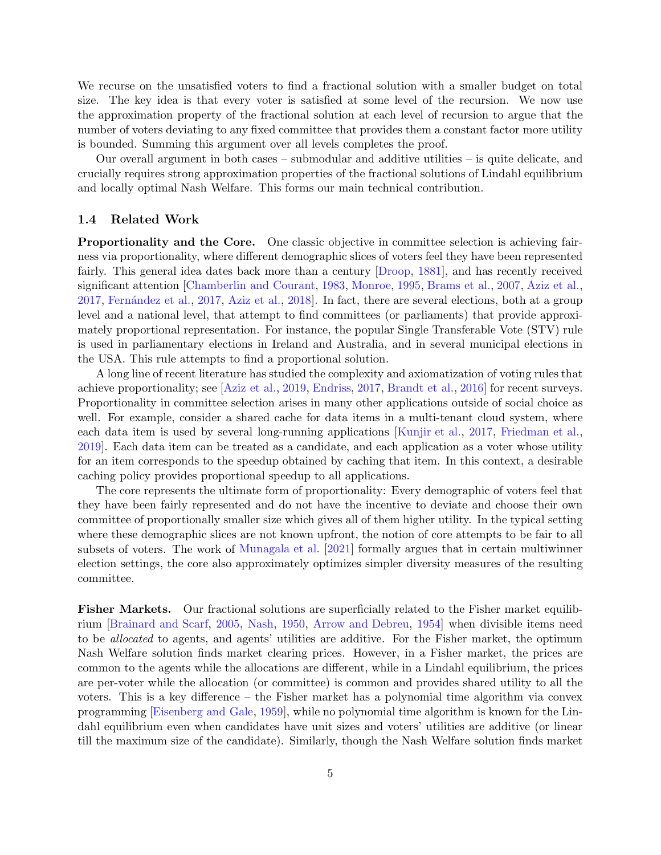We recurse on the unsatisfied voters to find a fractional solution with a smaller budget on total size. The key idea is that every voter is satisfied at some level of the recursion. We now use the approximation property of the fractional solution at each level of recursion to argue that the number of voters deviating to any fixed committee that provides them a constant factor more utility is bounded. Summing this argument over all levels completes the proof.

Our overall argument in both cases – submodular and additive utilities – is quite delicate, and crucially requires strong approximation properties of the fractional solutions of Lindahl equilibrium and locally optimal Nash Welfare. This forms our main technical contribution.

# 1.4 Related Work

Proportionality and the Core. One classic objective in committee selection is achieving fairness via proportionality, where different demographic slices of voters feel they have been represented fairly. This general idea dates back more than a century [\[Droop](#page-27-3), [1881](#page-27-3)], and has recently received significant attention [\[Chamberlin and Courant](#page-27-2), [1983,](#page-27-2) [Monroe](#page-28-8), [1995,](#page-28-8) [Brams et al.](#page-27-6), [2007](#page-27-6), [Aziz et al.](#page-26-3), [2017,](#page-28-5) Fernández et al., 2017, [Aziz et al.](#page-26-4), [2018](#page-26-4). In fact, there are several elections, both at a group level and a national level, that attempt to find committees (or parliaments) that provide approximately proportional representation. For instance, the popular Single Transferable Vote (STV) rule is used in parliamentary elections in Ireland and Australia, and in several municipal elections in the USA. This rule attempts to find a proportional solution.

A long line of recent literature has studied the complexity and axiomatization of voting rules that achieve proportionality; see [\[Aziz et al.,](#page-26-2) [2019,](#page-26-2) [Endriss](#page-28-1), [2017,](#page-28-1) [Brandt et al.](#page-27-1), [2016](#page-27-1)] for recent surveys. Proportionality in committee selection arises in many other applications outside of social choice as well. For example, consider a shared cache for data items in a multi-tenant cloud system, where each data item is used by several long-running applications [\[Kunjir et al.](#page-28-9), [2017](#page-28-9), [Friedman et al.](#page-28-10), [2019\]](#page-28-10). Each data item can be treated as a candidate, and each application as a voter whose utility for an item corresponds to the speedup obtained by caching that item. In this context, a desirable caching policy provides proportional speedup to all applications.

The core represents the ultimate form of proportionality: Every demographic of voters feel that they have been fairly represented and do not have the incentive to deviate and choose their own committee of proportionally smaller size which gives all of them higher utility. In the typical setting where these demographic slices are not known upfront, the notion of core attempts to be fair to all subsets of voters. The work of Munagala et al. [2021] formally argues that in certain multiwinner election settings, the core also approximately optimizes simpler diversity measures of the resulting committee.

Fisher Markets. Our fractional solutions are superficially related to the Fisher market equilibrium [\[Brainard and Scarf,](#page-27-7) [2005](#page-27-7), [Nash,](#page-28-6) [1950](#page-28-6), [Arrow and Debreu](#page-26-5), [1954](#page-26-5)] when divisible items need to be *allocated* to agents, and agents' utilities are additive. For the Fisher market, the optimum Nash Welfare solution finds market clearing prices. However, in a Fisher market, the prices are common to the agents while the allocations are different, while in a Lindahl equilibrium, the prices are per-voter while the allocation (or committee) is common and provides shared utility to all the voters. This is a key difference – the Fisher market has a polynomial time algorithm via convex programming [\[Eisenberg and Gale](#page-27-8), [1959](#page-27-8)], while no polynomial time algorithm is known for the Lindahl equilibrium even when candidates have unit sizes and voters' utilities are additive (or linear till the maximum size of the candidate). Similarly, though the Nash Welfare solution finds market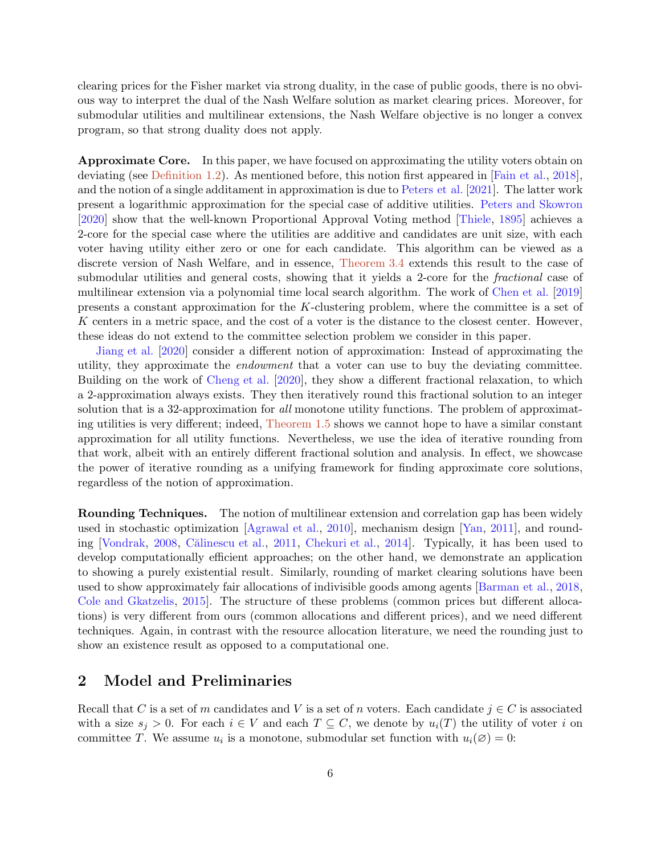clearing prices for the Fisher market via strong duality, in the case of public goods, there is no obvious way to interpret the dual of the Nash Welfare solution as market clearing prices. Moreover, for submodular utilities and multilinear extensions, the Nash Welfare objective is no longer a convex program, so that strong duality does not apply.

Approximate Core. In this paper, we have focused on approximating the utility voters obtain on deviating (see [Definition 1.2\)](#page-2-0). As mentioned before, this notion first appeared in [Fain et al., 2018], and the notion of a single additament in approximation is due to Peters et al. [2021]. The latter work present a logarithmic approximation for the special case of additive utilities. [Peters and Skowron](#page-28-11) [\[2020\]](#page-28-11) show that the well-known Proportional Approval Voting method [\[Thiele](#page-28-2), [1895](#page-28-2)] achieves a 2-core for the special case where the utilities are additive and candidates are unit size, with each voter having utility either zero or one for each candidate. This algorithm can be viewed as a discrete version of Nash Welfare, and in essence, [Theorem 3.4](#page-8-0) extends this result to the case of submodular utilities and general costs, showing that it yields a 2-core for the *fractional* case of multilinear extension via a polynomial time local search algorithm. The work of [Chen et al.](#page-27-9) [\[2019](#page-27-9)] presents a constant approximation for the K-clustering problem, where the committee is a set of K centers in a metric space, and the cost of a voter is the distance to the closest center. However, these ideas do not extend to the committee selection problem we consider in this paper.

Jiang et al. [2020] consider a different notion of approximation: Instead of approximating the utility, they approximate the *endowment* that a voter can use to buy the deviating committee. Building on the work of Cheng et al. [2020], they show a different fractional relaxation, to which a 2-approximation always exists. They then iteratively round this fractional solution to an integer solution that is a 32-approximation for *all* monotone utility functions. The problem of approximating utilities is very different; indeed, [Theorem 1.5](#page-2-3) shows we cannot hope to have a similar constant approximation for all utility functions. Nevertheless, we use the idea of iterative rounding from that work, albeit with an entirely different fractional solution and analysis. In effect, we showcase the power of iterative rounding as a unifying framework for finding approximate core solutions, regardless of the notion of approximation.

Rounding Techniques. The notion of multilinear extension and correlation gap has been widely used in stochastic optimization [\[Agrawal et al.,](#page-26-6) [2010](#page-26-6)], mechanism design [\[Yan](#page-29-2), [2011](#page-29-2)], and round-ing [\[Vondrak,](#page-29-1) [2008](#page-29-1), Călinescu et al., [2011](#page-27-4), [Chekuri et al.,](#page-27-10) [2014](#page-27-10)]. Typically, it has been used to develop computationally efficient approaches; on the other hand, we demonstrate an application to showing a purely existential result. Similarly, rounding of market clearing solutions have been used to show approximately fair allocations of indivisible goods among agents [\[Barman et al.](#page-27-11), [2018](#page-27-11), [Cole and Gkatzelis](#page-27-12), [2015\]](#page-27-12). The structure of these problems (common prices but different allocations) is very different from ours (common allocations and different prices), and we need different techniques. Again, in contrast with the resource allocation literature, we need the rounding just to show an existence result as opposed to a computational one.

# 2 Model and Preliminaries

Recall that C is a set of m candidates and V is a set of n voters. Each candidate  $j \in C$  is associated with a size  $s_i > 0$ . For each  $i \in V$  and each  $T \subseteq C$ , we denote by  $u_i(T)$  the utility of voter i on committee T. We assume  $u_i$  is a monotone, submodular set function with  $u_i(\varnothing) = 0$ :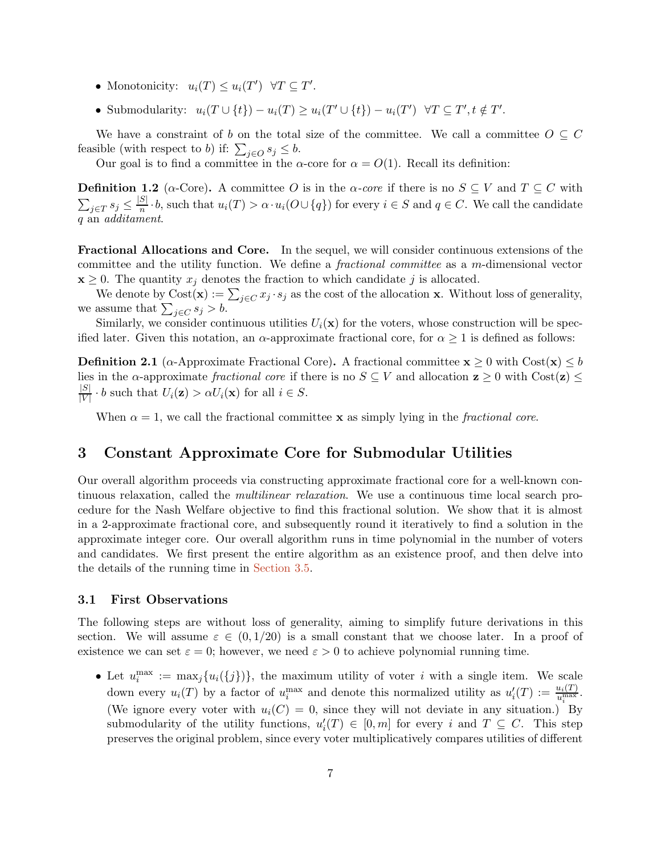- Monotonicity:  $u_i(T) \leq u_i(T') \quad \forall T \subseteq T'.$
- Submodularity:  $u_i(T \cup \{t\}) u_i(T) \ge u_i(T' \cup \{t\}) u_i(T') \quad \forall T \subseteq T', t \notin T'.$

We have a constraint of b on the total size of the committee. We call a committee  $O \subseteq C$ feasible (with respect to b) if:  $\sum_{j\in O} s_j \leq b$ .

Our goal is to find a committee in the  $\alpha$ -core for  $\alpha = O(1)$ . Recall its definition:

**Definition 1.2** ( $\alpha$ -Core). A committee O is in the  $\alpha$ -core if there is no  $S \subseteq V$  and  $T \subseteq C$  with  $\sum_{j\in T} s_j \leq \frac{|S|}{n} \cdot b$ , such that  $u_i(T) > \alpha \cdot u_i(O \cup \{q\})$  for every  $i \in S$  and  $q \in C$ . We call the candidate q an *additament*.

Fractional Allocations and Core. In the sequel, we will consider continuous extensions of the committee and the utility function. We define a *fractional committee* as a m-dimensional vector  $\mathbf{x} \geq 0$ . The quantity  $x_j$  denotes the fraction to which candidate j is allocated.

We denote by  $Cost(\mathbf{x}) := \sum_{j \in C} x_j \cdot s_j$  as the cost of the allocation x. Without loss of generality, we assume that  $\sum_{j \in C} s_j > b$ .

<span id="page-6-1"></span>Similarly, we consider continuous utilities  $U_i(\mathbf{x})$  for the voters, whose construction will be specified later. Given this notation, an  $\alpha$ -approximate fractional core, for  $\alpha \geq 1$  is defined as follows:

**Definition 2.1** ( $\alpha$ -Approximate Fractional Core). A fractional committee  $\mathbf{x} \geq 0$  with Cost $(\mathbf{x}) \leq b$ lies in the  $\alpha$ -approximate *fractional core* if there is no  $S \subseteq V$  and allocation  $z \ge 0$  with Cost( $z \ge 0$ )  $\frac{|S|}{|S|}$  $\frac{|S|}{|V|} \cdot b$  such that  $U_i(\mathbf{z}) > \alpha U_i(\mathbf{x})$  for all  $i \in S$ .

When  $\alpha = 1$ , we call the fractional committee **x** as simply lying in the *fractional core*.

# <span id="page-6-0"></span>3 Constant Approximate Core for Submodular Utilities

Our overall algorithm proceeds via constructing approximate fractional core for a well-known continuous relaxation, called the *multilinear relaxation*. We use a continuous time local search procedure for the Nash Welfare objective to find this fractional solution. We show that it is almost in a 2-approximate fractional core, and subsequently round it iteratively to find a solution in the approximate integer core. Our overall algorithm runs in time polynomial in the number of voters and candidates. We first present the entire algorithm as an existence proof, and then delve into the details of the running time in [Section 3.5.](#page-16-0)

# 3.1 First Observations

The following steps are without loss of generality, aiming to simplify future derivations in this section. We will assume  $\varepsilon \in (0, 1/20)$  is a small constant that we choose later. In a proof of existence we can set  $\varepsilon = 0$ ; however, we need  $\varepsilon > 0$  to achieve polynomial running time.

• Let  $u_i^{\max} := \max_j \{u_i(\{j\})\},\$  the maximum utility of voter i with a single item. We scale down every  $u_i(T)$  by a factor of  $u_i^{\max}$  and denote this normalized utility as  $u'_i(T) := \frac{u_i(T)}{u_i^{\max}}$ . (We ignore every voter with  $u_i(C) = 0$ , since they will not deviate in any situation.) By submodularity of the utility functions,  $u'_i(T) \in [0,m]$  for every i and  $T \subseteq C$ . This step preserves the original problem, since every voter multiplicatively compares utilities of different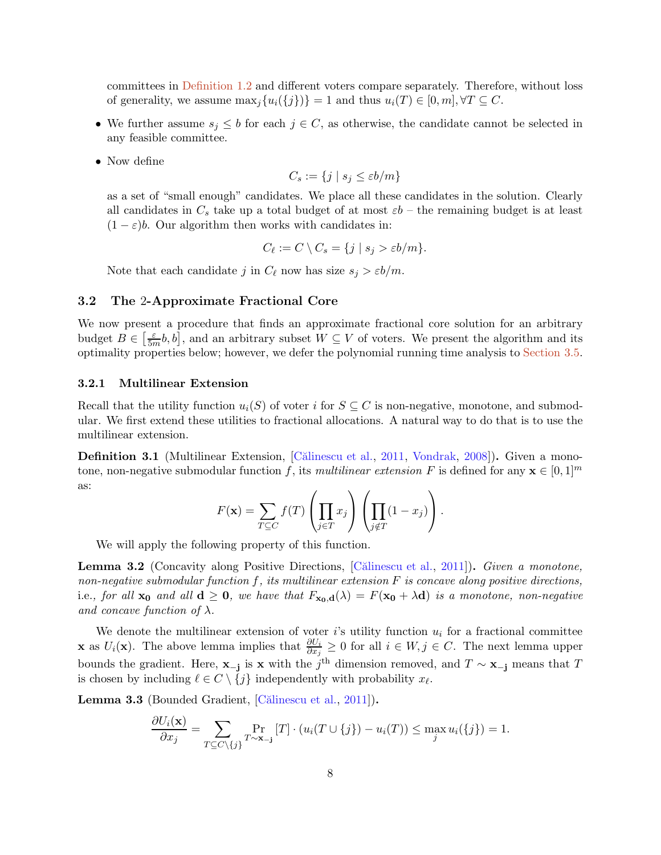committees in [Definition 1.2](#page-2-0) and different voters compare separately. Therefore, without loss of generality, we assume  $\max_i \{u_i(\{j\})\} = 1$  and thus  $u_i(T) \in [0, m], \forall T \subseteq C$ .

- We further assume  $s_j \leq b$  for each  $j \in C$ , as otherwise, the candidate cannot be selected in any feasible committee.
- Now define

$$
C_s := \{ j \mid s_j \le \varepsilon b/m \}
$$

as a set of "small enough" candidates. We place all these candidates in the solution. Clearly all candidates in  $C_s$  take up a total budget of at most  $\varepsilon b$  – the remaining budget is at least  $(1 - \varepsilon)b$ . Our algorithm then works with candidates in:

$$
C_{\ell} := C \setminus C_s = \{ j \mid s_j > \varepsilon b/m \}.
$$

Note that each candidate j in  $C_{\ell}$  now has size  $s_j > \varepsilon b/m$ .

### <span id="page-7-2"></span>3.2 The 2-Approximate Fractional Core

We now present a procedure that finds an approximate fractional core solution for an arbitrary budget  $B \in \left[\frac{\varepsilon}{5n}\right]$  $\frac{\varepsilon}{5m}$ *b*, *b*], and an arbitrary subset  $W \subseteq V$  of voters. We present the algorithm and its optimality properties below; however, we defer the polynomial running time analysis to [Section 3.5.](#page-16-0)

#### 3.2.1 Multilinear Extension

Recall that the utility function  $u_i(S)$  of voter i for  $S \subseteq C$  is non-negative, monotone, and submodular. We first extend these utilities to fractional allocations. A natural way to do that is to use the multilinear extension.

**Definition 3.1** (Multilinear Extension, [Călinescu et al., [2011,](#page-27-4) [Vondrak,](#page-29-1) [2008\]](#page-29-1)). Given a monotone, non-negative submodular function f, its *multilinear extension* F is defined for any  $\mathbf{x} \in [0,1]^m$ as:

$$
F(\mathbf{x}) = \sum_{T \subseteq C} f(T) \left( \prod_{j \in T} x_j \right) \left( \prod_{j \notin T} (1 - x_j) \right).
$$

<span id="page-7-0"></span>We will apply the following property of this function.

Lemma 3.2 (Concavity along Positive Directions, [\[C˘alinescu et al.](#page-27-4), [2011](#page-27-4)]). *Given a monotone, non-negative submodular function* f*, its multilinear extension* F *is concave along positive directions,* i.e., for all  $\mathbf{x_0}$  and all  $\mathbf{d} \geq \mathbf{0}$ , we have that  $F_{\mathbf{x_0},\mathbf{d}}(\lambda) = F(\mathbf{x_0} + \lambda \mathbf{d})$  is a monotone, non-negative *and concave function of*  $\lambda$ *.* 

We denote the multilinear extension of voter  $i$ 's utility function  $u_i$  for a fractional committee **x** as  $U_i(\mathbf{x})$ . The above lemma implies that  $\frac{\partial U_i}{\partial x_j} \geq 0$  for all  $i \in W, j \in C$ . The next lemma upper bounds the gradient. Here,  $\mathbf{x}-\mathbf{j}$  is  $\mathbf{x}$  with the j<sup>th</sup> dimension removed, and  $T \sim \mathbf{x}-\mathbf{j}$  means that T is chosen by including  $\ell \in C \setminus \{j\}$  independently with probability  $x_{\ell}$ .

<span id="page-7-1"></span>Lemma 3.3 (Bounded Gradient, [Călinescu et al., [2011](#page-27-4)]).

$$
\frac{\partial U_i(\mathbf{x})}{\partial x_j} = \sum_{T \subseteq C \setminus \{j\}} \Pr_{T \sim \mathbf{x}_{-j}}[T] \cdot (u_i(T \cup \{j\}) - u_i(T)) \le \max_j u_i(\{j\}) = 1.
$$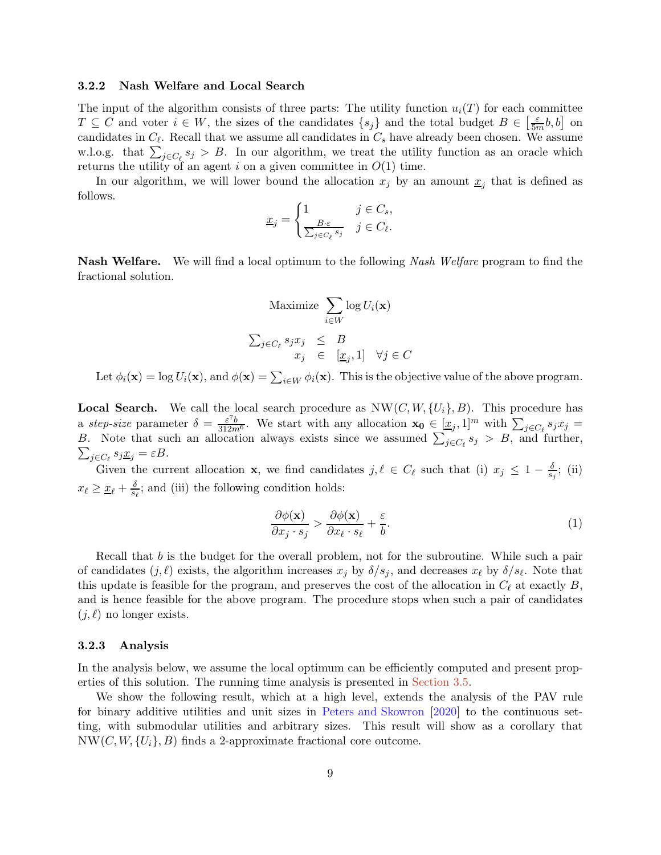#### 3.2.2 Nash Welfare and Local Search

The input of the algorithm consists of three parts: The utility function  $u_i(T)$  for each committee  $T \subseteq C$  and voter  $i \in W$ , the sizes of the candidates  $\{s_j\}$  and the total budget  $B \in \left[\frac{\varepsilon}{5m}b, b\right]$  on candidates in  $C_{\ell}$ . Recall that we assume all candidates in  $C_{s}$  have already been chosen. We assume w.l.o.g. that  $\sum_{j\in C_{\ell}} s_j > B$ . In our algorithm, we treat the utility function as an oracle which returns the utility of an agent i on a given committee in  $O(1)$  time.

In our algorithm, we will lower bound the allocation  $x_j$  by an amount  $\underline{x}_j$  that is defined as follows.

$$
\underline{x}_j = \begin{cases} 1 & j \in C_s, \\ \frac{B \cdot \varepsilon}{\sum_{j \in C_\ell} s_j} & j \in C_\ell. \end{cases}
$$

Nash Welfare. We will find a local optimum to the following *Nash Welfare* program to find the fractional solution.

$$
\begin{aligned}\n\text{Maximize } & \sum_{i \in W} \log U_i(\mathbf{x}) \\
\sum_{j \in C_\ell} s_j x_j & \leq B \\
x_j & \in \quad [x_j, 1] \quad \forall j \in C\n\end{aligned}
$$

Let  $\phi_i(\mathbf{x}) = \log U_i(\mathbf{x})$ , and  $\phi(\mathbf{x}) = \sum_{i \in W} \phi_i(\mathbf{x})$ . This is the objective value of the above program.

**Local Search.** We call the local search procedure as  $NW(C, W, \{U_i\}, B)$ . This procedure has a *step-size* parameter  $\delta = \frac{\varepsilon^7 b}{312m^6}$ . We start with any allocation  $\mathbf{x_0} \in [\underline{x}_j, 1]^m$  with  $\sum_{j \in C_\ell} s_j x_j =$ B. Note that such an allocation always exists since we assumed  $\sum_{j \in C_{\ell}} s_j > B$ , and further,  $\sum_{i \in C_{\ell}} s_i \underline{x}_i = \varepsilon B$ .  $_{j\in C_{\ell}}s_{j}\underline{x}_{j}=\varepsilon B.$ 

Given the current allocation **x**, we find candidates  $j, \ell \in C_{\ell}$  such that (i)  $x_j \leq 1 - \frac{\delta}{s}$  $\frac{\delta}{s_j};$  (ii)  $x_{\ell} \geq \underline{x}_{\ell} + \frac{\delta}{s_{\ell}}$ ; and (iii) the following condition holds:

<span id="page-8-1"></span>
$$
\frac{\partial \phi(\mathbf{x})}{\partial x_j \cdot s_j} > \frac{\partial \phi(\mathbf{x})}{\partial x_\ell \cdot s_\ell} + \frac{\varepsilon}{b}.\tag{1}
$$

Recall that b is the budget for the overall problem, not for the subroutine. While such a pair of candidates  $(j, \ell)$  exists, the algorithm increases  $x_j$  by  $\delta/s_j$ , and decreases  $x_{\ell}$  by  $\delta/s_{\ell}$ . Note that this update is feasible for the program, and preserves the cost of the allocation in  $C_{\ell}$  at exactly  $B$ , and is hence feasible for the above program. The procedure stops when such a pair of candidates  $(j, \ell)$  no longer exists.

#### 3.2.3 Analysis

In the analysis below, we assume the local optimum can be efficiently computed and present properties of this solution. The running time analysis is presented in [Section 3.5.](#page-16-0)

<span id="page-8-0"></span>We show the following result, which at a high level, extends the analysis of the PAV rule for binary additive utilities and unit sizes in [Peters and Skowron](#page-28-11) [\[2020](#page-28-11)] to the continuous setting, with submodular utilities and arbitrary sizes. This result will show as a corollary that  $NW(C, W, \{U_i\}, B)$  finds a 2-approximate fractional core outcome.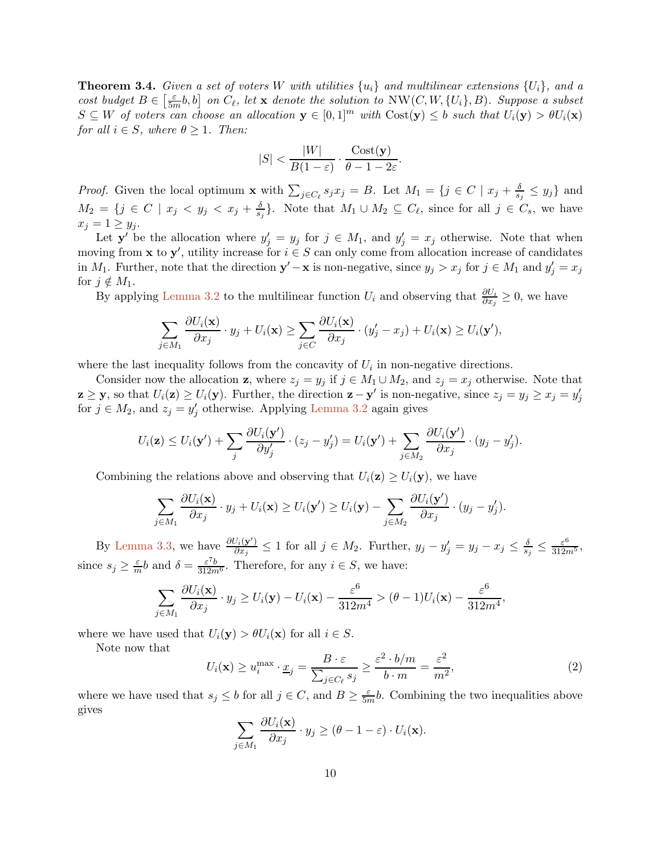**Theorem 3.4.** Given a set of voters W with utilities  $\{u_i\}$  and multilinear extensions  $\{U_i\}$ , and a *cost budget*  $B \in \left[\frac{\varepsilon}{5n}\right]$  $\frac{\varepsilon}{5m}$ b, b] on  $C_{\ell}$ , let **x** denote the solution to  $NW(C, W, \{U_i\}, B)$ *. Suppose a subset*  $S \subseteq W$  *of voters can choose an allocation*  $y \in [0,1]^m$  *with*  $Cost(y) \leq b$  *such that*  $U_i(y) > \theta U_i(x)$ *for all*  $i \in S$ *, where*  $\theta \geq 1$ *. Then:* 

$$
|S| < \frac{|W|}{B(1-\varepsilon)} \cdot \frac{\text{Cost}(\mathbf{y})}{\theta - 1 - 2\varepsilon}.
$$

*Proof.* Given the local optimum **x** with  $\sum_{j \in C_{\ell}} s_j x_j = B$ . Let  $M_1 = \{j \in C \mid x_j + \frac{\delta}{s_j} \}$  $\frac{\delta}{s_j} \leq y_j$ } and  $M_2 = \{j \in C \mid x_j < y_j < x_j + \frac{\delta}{s}$  $\frac{\delta}{s_j}$ . Note that  $M_1 \cup M_2 \subseteq C_{\ell}$ , since for all  $j \in C_s$ , we have  $x_i = 1 \geq y_i$ .

Let  $y'$  be the allocation where  $y'_j = y_j$  for  $j \in M_1$ , and  $y'_j = x_j$  otherwise. Note that when moving from **x** to **y'**, utility increase for  $i \in S$  can only come from allocation increase of candidates in  $M_1$ . Further, note that the direction  $y' - x$  is non-negative, since  $y_j > x_j$  for  $j \in M_1$  and  $y'_j = x_j$ for  $j \notin M_1$ .

By applying [Lemma 3.2](#page-7-0) to the multilinear function  $U_i$  and observing that  $\frac{\partial U_i}{\partial x_j} \geq 0$ , we have

$$
\sum_{j\in M_1} \frac{\partial U_i(\mathbf{x})}{\partial x_j}\cdot y_j + U_i(\mathbf{x}) \ge \sum_{j\in C} \frac{\partial U_i(\mathbf{x})}{\partial x_j}\cdot (y'_j - x_j) + U_i(\mathbf{x}) \ge U_i(\mathbf{y}'),
$$

where the last inequality follows from the concavity of  $U_i$  in non-negative directions.

Consider now the allocation **z**, where  $z_j = y_j$  if  $j \in M_1 \cup M_2$ , and  $z_j = x_j$  otherwise. Note that  $\mathbf{z} \geq \mathbf{y}$ , so that  $U_i(\mathbf{z}) \geq U_i(\mathbf{y})$ . Further, the direction  $\mathbf{z} - \mathbf{y}'$  is non-negative, since  $z_j = y_j \geq x_j = y'_j$ for  $j \in M_2$ , and  $z_j = y'_j$  otherwise. Applying [Lemma 3.2](#page-7-0) again gives

$$
U_i(\mathbf{z}) \leq U_i(\mathbf{y}') + \sum_j \frac{\partial U_i(\mathbf{y}')}{\partial y'_j} \cdot (z_j - y'_j) = U_i(\mathbf{y}') + \sum_{j \in M_2} \frac{\partial U_i(\mathbf{y}')}{\partial x_j} \cdot (y_j - y'_j).
$$

Combining the relations above and observing that  $U_i(\mathbf{z}) \geq U_i(\mathbf{y})$ , we have

$$
\sum_{j\in M_1}\frac{\partial U_i(\mathbf{x})}{\partial x_j}\cdot y_j+U_i(\mathbf{x})\geq U_i(\mathbf{y}')\geq U_i(\mathbf{y})-\sum_{j\in M_2}\frac{\partial U_i(\mathbf{y}')}{\partial x_j}\cdot (y_j-y'_j).
$$

By [Lemma 3.3,](#page-7-1) we have  $\frac{\partial U_i(\mathbf{y}')}{\partial x_i}$  $\frac{\partial f_i(\mathbf{y}')}{\partial x_j} \leq 1$  for all  $j \in M_2$ . Further,  $y_j - y'_j = y_j - x_j \leq \frac{\delta}{s_j}$  $\frac{\delta}{s_j} \leq \frac{\varepsilon^6}{312m^5},$ since  $s_j \ge \frac{\varepsilon}{m}b$  and  $\delta = \frac{\varepsilon^7 b}{312m^6}$ . Therefore, for any  $i \in S$ , we have:

$$
\sum_{j\in M_1}\frac{\partial U_i(\mathbf{x})}{\partial x_j}\cdot y_j\geq U_i(\mathbf{y})-U_i(\mathbf{x})-\frac{\varepsilon^6}{312m^4}>(\theta-1)U_i(\mathbf{x})-\frac{\varepsilon^6}{312m^4},
$$

where we have used that  $U_i(\mathbf{y}) > \theta U_i(\mathbf{x})$  for all  $i \in S$ .

Note now that

<span id="page-9-0"></span>
$$
U_i(\mathbf{x}) \ge u_i^{\max} \cdot \underline{x}_j = \frac{B \cdot \varepsilon}{\sum_{j \in C_\ell} s_j} \ge \frac{\varepsilon^2 \cdot b/m}{b \cdot m} = \frac{\varepsilon^2}{m^2},\tag{2}
$$

where we have used that  $s_j \leq b$  for all  $j \in C$ , and  $B \geq \frac{\varepsilon}{5m}b$ . Combining the two inequalities above gives

$$
\sum_{j\in M_1} \frac{\partial U_i(\mathbf{x})}{\partial x_j}\cdot y_j \geq (\theta - 1 - \varepsilon)\cdot U_i(\mathbf{x}).
$$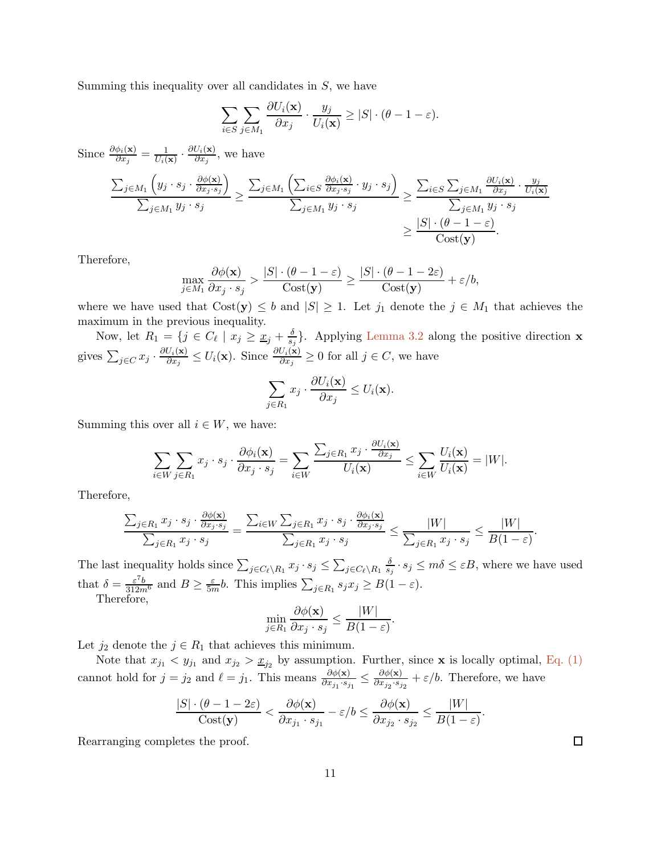Summing this inequality over all candidates in  $S$ , we have

$$
\sum_{i \in S} \sum_{j \in M_1} \frac{\partial U_i(\mathbf{x})}{\partial x_j} \cdot \frac{y_j}{U_i(\mathbf{x})} \ge |S| \cdot (\theta - 1 - \varepsilon).
$$

Since  $\frac{\partial \phi_i(\mathbf{x})}{\partial x_j} = \frac{1}{U_i(\mathbf{x})}$  $\frac{1}{U_i(\mathbf{x})}\cdot\frac{\partial U_i(\mathbf{x})}{\partial x_j}$  $\frac{\partial i(\mathbf{x})}{\partial x_j}$ , we have

$$
\frac{\sum_{j \in M_1} \left( y_j \cdot s_j \cdot \frac{\partial \phi(\mathbf{x})}{\partial x_j \cdot s_j} \right)}{\sum_{j \in M_1} y_j \cdot s_j} \ge \frac{\sum_{j \in M_1} \left( \sum_{i \in S} \frac{\partial \phi_i(\mathbf{x})}{\partial x_j \cdot s_j} \cdot y_j \cdot s_j \right)}{\sum_{j \in M_1} y_j \cdot s_j} \ge \frac{\sum_{i \in S} \sum_{j \in M_1} \frac{\partial U_i(\mathbf{x})}{\partial x_j} \cdot \frac{y_j}{U_i(\mathbf{x})}}{\sum_{j \in M_1} y_j \cdot s_j} \ge \frac{|S| \cdot (\theta - 1 - \varepsilon)}{\text{Cost}(\mathbf{y})}.
$$

Therefore,

$$
\max_{j\in M_1} \frac{\partial \phi(\mathbf{x})}{\partial x_j \cdot s_j} > \frac{|S| \cdot (\theta - 1 - \varepsilon)}{\text{Cost}(\mathbf{y})} \ge \frac{|S| \cdot (\theta - 1 - 2\varepsilon)}{\text{Cost}(\mathbf{y})} + \varepsilon/b,
$$

where we have used that  $Cost(y) \leq b$  and  $|S| \geq 1$ . Let  $j_1$  denote the  $j \in M_1$  that achieves the maximum in the previous inequality.

Now, let  $R_1 = \{j \in C_\ell \mid x_j \geq \underline{x}_j + \frac{\delta}{s}\}$  $\frac{\delta}{s_j}$ . Applying [Lemma 3.2](#page-7-0) along the positive direction **x** gives  $\sum_{j\in C} x_j\cdot \frac{\partial U_i(\mathbf{x})}{\partial x_j}$  $\frac{U_i(\mathbf{x})}{\partial x_j} \leq U_i(\mathbf{x})$ . Since  $\frac{\partial U_i(\mathbf{x})}{\partial x_j} \geq 0$  for all  $j \in C$ , we have

$$
\sum_{j\in R_1} x_j \cdot \frac{\partial U_i(\mathbf{x})}{\partial x_j} \le U_i(\mathbf{x}).
$$

Summing this over all  $i \in W$ , we have:

$$
\sum_{i\in W}\sum_{j\in R_1}x_j\cdot s_j\cdot \frac{\partial \phi_i(\mathbf{x})}{\partial x_j\cdot s_j}=\sum_{i\in W}\frac{\sum_{j\in R_1}x_j\cdot \frac{\partial U_i(\mathbf{x})}{\partial x_j}}{U_i(\mathbf{x})}\leq \sum_{i\in W}\frac{U_i(\mathbf{x})}{U_i(\mathbf{x})}=|W|.
$$

Therefore,

$$
\frac{\sum_{j \in R_1} x_j \cdot s_j \cdot \frac{\partial \phi(\mathbf{x})}{\partial x_j \cdot s_j}}{\sum_{j \in R_1} x_j \cdot s_j} = \frac{\sum_{i \in W} \sum_{j \in R_1} x_j \cdot s_j \cdot \frac{\partial \phi_i(\mathbf{x})}{\partial x_j \cdot s_j}}{\sum_{j \in R_1} x_j \cdot s_j} \le \frac{|W|}{\sum_{j \in R_1} x_j \cdot s_j} \le \frac{|W|}{B(1-\varepsilon)}
$$

The last inequality holds since  $\sum_{j \in C_{\ell} \setminus R_1} x_j \cdot s_j \leq \sum_{j \in C_{\ell} \setminus R_1} \frac{\delta}{s_j}$  $\frac{\delta}{s_j} \cdot s_j \leq m\delta \leq \varepsilon B$ , where we have used that  $\delta = \frac{\varepsilon^7 b}{312m^6}$  and  $B \ge \frac{\varepsilon}{5m} b$ . This implies  $\sum_{j \in R_1} s_j x_j \ge B(1 - \varepsilon)$ .

Therefore,

$$
\min_{j \in R_1} \frac{\partial \phi(\mathbf{x})}{\partial x_j \cdot s_j} \le \frac{|W|}{B(1-\varepsilon)}.
$$

Let  $j_2$  denote the  $j \in R_1$  that achieves this minimum.

Note that  $x_{j_1} < y_{j_1}$  and  $x_{j_2} > \underline{x}_{j_2}$  by assumption. Further, since **x** is locally optimal, [Eq. \(1\)](#page-8-1) cannot hold for  $j = j_2$  and  $\ell = j_1$ . This means  $\frac{\partial \phi(\mathbf{x})}{\partial x_{j_1} \cdot s_{j_1}} \leq \frac{\partial \phi(\mathbf{x})}{\partial x_{j_2} \cdot s_j}$  $\frac{\partial \varphi(\mathbf{x})}{\partial x_{j_2} \cdot s_{j_2}} + \varepsilon/b$ . Therefore, we have

$$
\frac{|S| \cdot (\theta - 1 - 2\varepsilon)}{\text{Cost}(\mathbf{y})} < \frac{\partial \phi(\mathbf{x})}{\partial x_{j_1} \cdot s_{j_1}} - \varepsilon/b \le \frac{\partial \phi(\mathbf{x})}{\partial x_{j_2} \cdot s_{j_2}} \le \frac{|W|}{B(1 - \varepsilon)}
$$

Rearranging completes the proof.

 $\Box$ 

.

.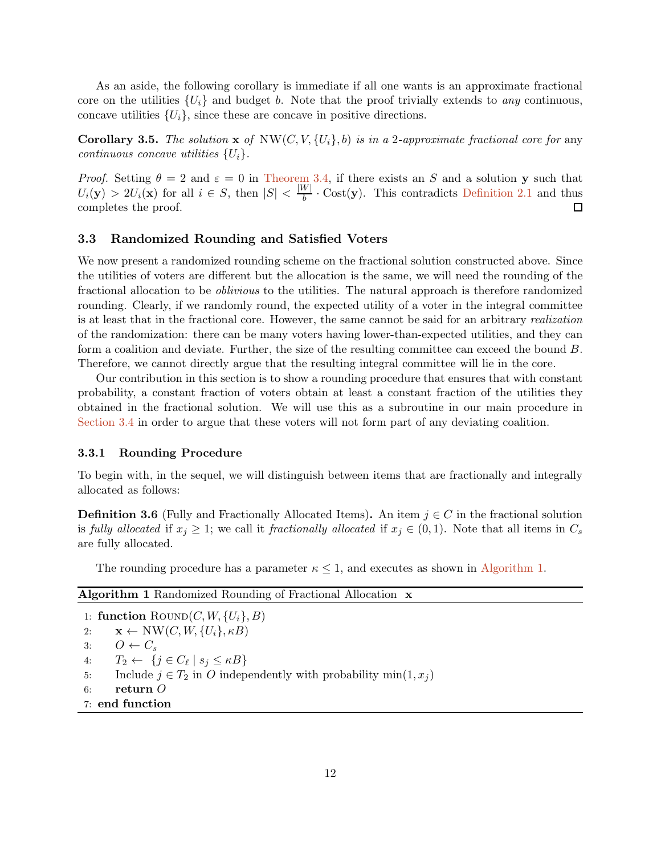As an aside, the following corollary is immediate if all one wants is an approximate fractional core on the utilities  $\{U_i\}$  and budget b. Note that the proof trivially extends to *any* continuous, concave utilities  $\{U_i\}$ , since these are concave in positive directions.

**Corollary 3.5.** The solution  $\mathbf{x}$  of  $NW(C, V, \{U_i\}, b)$  is in a 2*-approximate fractional core for* any *continuous concave utilities* {Ui}*.*

*Proof.* Setting  $\theta = 2$  and  $\varepsilon = 0$  in [Theorem 3.4,](#page-8-0) if there exists an S and a solution y such that  $U_i(\mathbf{y}) > 2U_i(\mathbf{x})$  for all  $i \in S$ , then  $|S| < \frac{|W|}{b} \cdot \text{Cost}(\mathbf{y})$ . This contradicts [Definition 2.1](#page-6-1) and thus completes the proof.  $\Box$ 

# 3.3 Randomized Rounding and Satisfied Voters

We now present a randomized rounding scheme on the fractional solution constructed above. Since the utilities of voters are different but the allocation is the same, we will need the rounding of the fractional allocation to be *oblivious* to the utilities. The natural approach is therefore randomized rounding. Clearly, if we randomly round, the expected utility of a voter in the integral committee is at least that in the fractional core. However, the same cannot be said for an arbitrary *realization* of the randomization: there can be many voters having lower-than-expected utilities, and they can form a coalition and deviate. Further, the size of the resulting committee can exceed the bound B. Therefore, we cannot directly argue that the resulting integral committee will lie in the core.

Our contribution in this section is to show a rounding procedure that ensures that with constant probability, a constant fraction of voters obtain at least a constant fraction of the utilities they obtained in the fractional solution. We will use this as a subroutine in our main procedure in [Section 3.4](#page-13-0) in order to argue that these voters will not form part of any deviating coalition.

#### 3.3.1 Rounding Procedure

To begin with, in the sequel, we will distinguish between items that are fractionally and integrally allocated as follows:

**Definition 3.6** (Fully and Fractionally Allocated Items). An item  $j \in C$  in the fractional solution is *fully allocated* if  $x_j \geq 1$ ; we call it *fractionally allocated* if  $x_j \in (0,1)$ . Note that all items in  $C_s$ are fully allocated.

The rounding procedure has a parameter  $\kappa \leq 1$ , and executes as shown in [Algorithm 1.](#page-11-0)

<span id="page-11-0"></span>

| <b>Algorithm 1</b> Randomized Rounding of Fractional Allocation <b>x</b>     |
|------------------------------------------------------------------------------|
| 1: function $\text{Round}(C, W, \{U_i\}, B)$                                 |
| $\mathbf{x} \leftarrow \text{NW}(C, W, \{U_i\}, \kappa B)$<br>2:             |
| $O \leftarrow C_s$<br>3:                                                     |
| $T_2 \leftarrow \{j \in C_\ell \mid s_j \leq \kappa B\}$<br>4:               |
| Include $j \in T_2$ in O independently with probability min $(1, x_i)$<br>5: |
| return $O$<br>6:                                                             |
| 7: end function                                                              |
|                                                                              |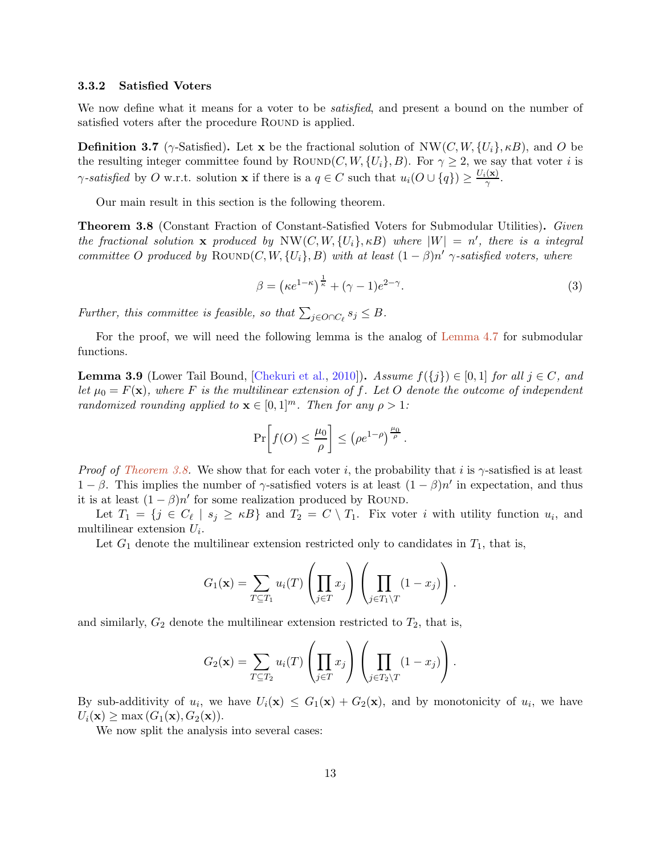#### 3.3.2 Satisfied Voters

<span id="page-12-3"></span>We now define what it means for a voter to be *satisfied*, and present a bound on the number of satisfied voters after the procedure ROUND is applied.

**Definition 3.7** ( $\gamma$ -Satisfied). Let x be the fractional solution of NW(C, W,  $\{U_i\}$ ,  $\kappa B$ ), and O be the resulting integer committee found by ROUND(C, W,  $\{U_i\}$ , B). For  $\gamma \geq 2$ , we say that voter i is *γ*-satisfied by O w.r.t. solution **x** if there is a  $q \in C$  such that  $u_i(O \cup \{q\}) \geq \frac{U_i(\mathbf{x})}{\gamma}$  $\frac{(\mathbf{x})}{\gamma}$ .

<span id="page-12-0"></span>Our main result in this section is the following theorem.

Theorem 3.8 (Constant Fraction of Constant-Satisfied Voters for Submodular Utilities). *Given the fractional solution* x *produced by*  $NW(C, W, \{U_i\}, \kappa B)$  *where*  $|W| = n'$ *, there is a integral committee* O produced by  $\text{Round}(C, W, \{U_i\}, B)$  with at least  $(1 - \beta)n'$   $\gamma$ -satisfied voters, where

<span id="page-12-2"></span>
$$
\beta = \left(\kappa e^{1-\kappa}\right)^{\frac{1}{\kappa}} + (\gamma - 1)e^{2-\gamma}.
$$
\n(3)

*Further, this committee is feasible, so that*  $\sum_{j \in O \cap C_{\ell}} s_j \leq B$ .

<span id="page-12-1"></span>For the proof, we will need the following lemma is the analog of [Lemma 4.7](#page-21-0) for submodular functions.

**Lemma 3.9** (Lower Tail Bound, [\[Chekuri et al.](#page-27-5), [2010\]](#page-27-5)). *Assume*  $f({j}) \in [0,1]$  *for all*  $j \in C$ *, and let*  $\mu_0 = F(\mathbf{x})$ *, where* F *is the multilinear extension of* f. Let O *denote the outcome of independent randomized rounding applied to*  $\mathbf{x} \in [0,1]^m$ *. Then for any*  $\rho > 1$ *:* 

$$
\Pr\bigg[f(O) \le \frac{\mu_0}{\rho}\bigg] \le \left(\rho e^{1-\rho}\right)^{\frac{\mu_0}{\rho}}.
$$

*Proof of [Theorem 3.8.](#page-12-0)* We show that for each voter i, the probability that i is γ-satisfied is at least  $1 - \beta$ . This implies the number of  $\gamma$ -satisfied voters is at least  $(1 - \beta)n'$  in expectation, and thus it is at least  $(1 - \beta)n'$  for some realization produced by ROUND.

Let  $T_1 = \{j \in C_\ell \mid s_j \geq \kappa B\}$  and  $T_2 = C \setminus T_1$ . Fix voter i with utility function  $u_i$ , and multilinear extension  $U_i$ .

Let  $G_1$  denote the multilinear extension restricted only to candidates in  $T_1$ , that is,

$$
G_1(\mathbf{x}) = \sum_{T \subseteq T_1} u_i(T) \left( \prod_{j \in T} x_j \right) \left( \prod_{j \in T_1 \setminus T} (1 - x_j) \right).
$$

and similarly,  $G_2$  denote the multilinear extension restricted to  $T_2$ , that is,

$$
G_2(\mathbf{x}) = \sum_{T \subseteq T_2} u_i(T) \left( \prod_{j \in T} x_j \right) \left( \prod_{j \in T_2 \setminus T} (1 - x_j) \right).
$$

By sub-additivity of  $u_i$ , we have  $U_i(\mathbf{x}) \leq G_1(\mathbf{x}) + G_2(\mathbf{x})$ , and by monotonicity of  $u_i$ , we have  $U_i(\mathbf{x}) \geq \max(G_1(\mathbf{x}), G_2(\mathbf{x})).$ 

We now split the analysis into several cases: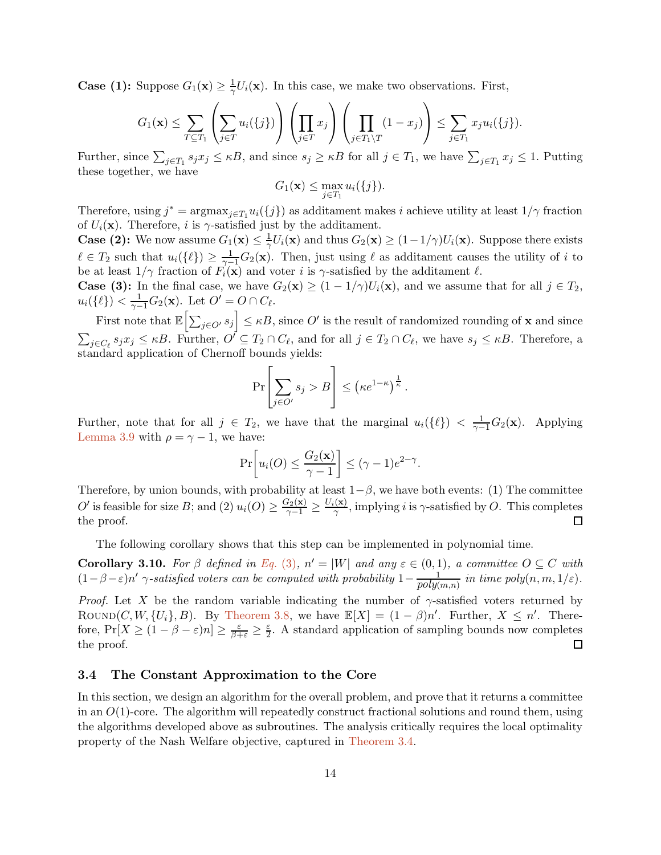**Case (1):** Suppose  $G_1(\mathbf{x}) \geq \frac{1}{\gamma} U_i(\mathbf{x})$ . In this case, we make two observations. First,

$$
G_1(\mathbf{x}) \leq \sum_{T \subseteq T_1} \left( \sum_{j \in T} u_i(\{j\}) \right) \left( \prod_{j \in T} x_j \right) \left( \prod_{j \in T_1 \setminus T} (1 - x_j) \right) \leq \sum_{j \in T_1} x_j u_i(\{j\}).
$$

Further, since  $\sum_{j\in T_1} s_j x_j \leq \kappa B$ , and since  $s_j \geq \kappa B$  for all  $j \in T_1$ , we have  $\sum_{j\in T_1} x_j \leq 1$ . Putting these together, we have

$$
G_1(\mathbf{x}) \le \max_{j \in T_1} u_i(\{j\}).
$$

Therefore, using  $j^* = \operatorname{argmax}_{j \in T_1} u_i(\{j\})$  as additament makes i achieve utility at least  $1/\gamma$  fraction of  $U_i(\mathbf{x})$ . Therefore, i is  $\gamma$ -satisfied just by the additament.

**Case (2):** We now assume  $G_1(\mathbf{x}) \leq \frac{1}{\gamma} U_i(\mathbf{x})$  and thus  $G_2(\mathbf{x}) \geq (1 - 1/\gamma)U_i(\mathbf{x})$ . Suppose there exists  $\ell \in T_2$  such that  $u_i(\{\ell\}) \geq \frac{1}{\gamma-1}G_2(\mathbf{x})$ . Then, just using  $\ell$  as additament causes the utility of i to be at least  $1/\gamma$  fraction of  $F_i(\mathbf{x})$  and voter i is  $\gamma$ -satisfied by the additament  $\ell$ .

**Case (3):** In the final case, we have  $G_2(\mathbf{x}) \ge (1 - 1/\gamma)U_i(\mathbf{x})$ , and we assume that for all  $j \in T_2$ ,  $u_i(\{\ell\}) < \frac{1}{\gamma - 1}G_2(\mathbf{x})$ . Let  $O' = O \cap C_{\ell}$ .

First note that  $\mathbb{E}\left[\sum_{j\in O'} s_j\right] \leq \kappa B$ , since  $O'$  is the result of randomized rounding of **x** and since  $\sum_{j \in C_{\ell}} s_j x_j \leq \kappa B$ . Further,  $O' \subseteq T_2 \cap C_{\ell}$ , and for all  $j \in T_2 \cap C_{\ell}$ , we have  $s_j \leq \kappa B$ . Therefore, a standard application of Chernoff bounds yields:

$$
\Pr\left[\sum_{j\in O'} s_j > B\right] \le \left(\kappa e^{1-\kappa}\right)^{\frac{1}{\kappa}}.
$$

Further, note that for all  $j \in T_2$ , we have that the marginal  $u_i({\ell}) < \frac{1}{\gamma-1}G_2(\mathbf{x})$ . Applying [Lemma 3.9](#page-12-1) with  $\rho = \gamma - 1$ , we have:

$$
\Pr\left[u_i(O) \leq \frac{G_2(\mathbf{x})}{\gamma - 1}\right] \leq (\gamma - 1)e^{2-\gamma}.
$$

Therefore, by union bounds, with probability at least  $1-\beta$ , we have both events: (1) The committee O' is feasible for size B; and (2)  $u_i(O) \geq \frac{G_2(\mathbf{x})}{\gamma-1} \geq \frac{U_i(\mathbf{x})}{\gamma}$  $\frac{f(x)}{\gamma}$ , implying *i* is  $\gamma$ -satisfied by O. This completes the proof.  $\Box$ 

<span id="page-13-1"></span>The following corollary shows that this step can be implemented in polynomial time.

**Corollary 3.10.** For  $\beta$  defined in [Eq.](#page-12-2) (3),  $n' = |W|$  and any  $\varepsilon \in (0,1)$ , a committee  $O \subseteq C$  with  $(1 - \beta - \varepsilon)n'$   $\gamma$ -satisfied voters can be computed with probability  $1 - \frac{1}{poly(m,n)}$  in time poly $(n, m, 1/\varepsilon)$ .

*Proof.* Let X be the random variable indicating the number of  $\gamma$ -satisfied voters returned by ROUND(C, W,  $\{U_i\}$ , B). By [Theorem 3.8,](#page-12-0) we have  $\mathbb{E}[X] = (1 - \beta)n'$ . Further,  $X \leq n'$ . Therefore,  $Pr[X \geq (1 - \beta - \varepsilon)n] \geq \frac{\varepsilon}{\beta + \varepsilon} \geq \frac{\varepsilon}{2}$ . A standard application of sampling bounds now completes the proof.  $\Box$ 

# <span id="page-13-0"></span>3.4 The Constant Approximation to the Core

In this section, we design an algorithm for the overall problem, and prove that it returns a committee in an  $O(1)$ -core. The algorithm will repeatedly construct fractional solutions and round them, using the algorithms developed above as subroutines. The analysis critically requires the local optimality property of the Nash Welfare objective, captured in [Theorem 3.4.](#page-8-0)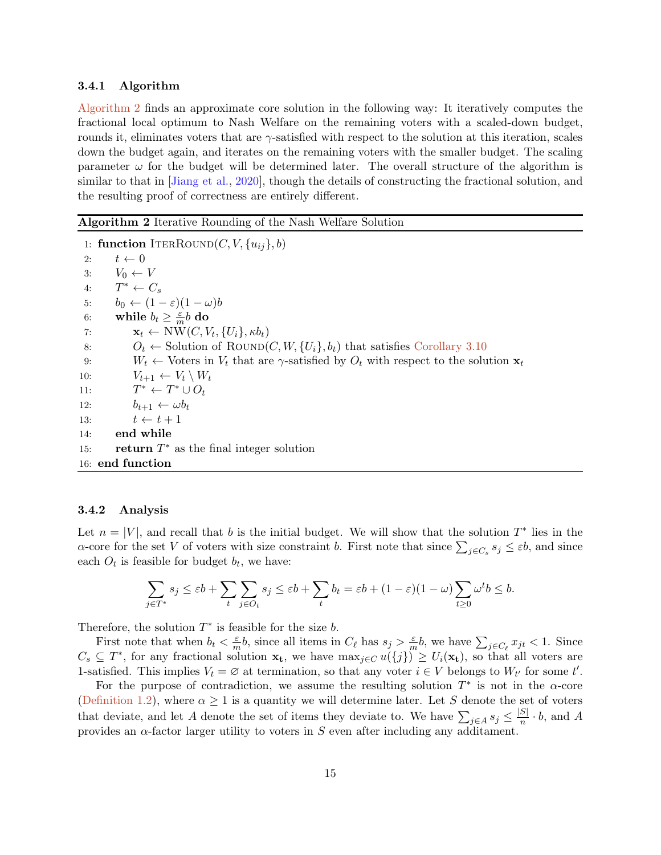### 3.4.1 Algorithm

[Algorithm 2](#page-14-0) finds an approximate core solution in the following way: It iteratively computes the fractional local optimum to Nash Welfare on the remaining voters with a scaled-down budget, rounds it, eliminates voters that are  $\gamma$ -satisfied with respect to the solution at this iteration, scales down the budget again, and iterates on the remaining voters with the smaller budget. The scaling parameter  $\omega$  for the budget will be determined later. The overall structure of the algorithm is similar to that in [Jiang et al., 2020], though the details of constructing the fractional solution, and the resulting proof of correctness are entirely different.

#### <span id="page-14-0"></span>Algorithm 2 Iterative Rounding of the Nash Welfare Solution

1: function ITERROUND $(C, V, \{u_{ij}\}, b)$ 2:  $t \leftarrow 0$ 3:  $V_0 \leftarrow V$ 4:  $T^* \leftarrow C_s$ 5:  $b_0 \leftarrow (1 - \varepsilon)(1 - \omega)b$ 6: while  $b_t \geq \frac{\varepsilon}{m}b$  do 7:  $\mathbf{x}_t \leftarrow \text{NW}(C, V_t, \{U_i\}, \kappa b_t)$ 8:  $O_t \leftarrow$  Solution of ROUND(C, W,  $\{U_i\}$ ,  $b_t$ ) that satisfies [Corollary 3.10](#page-13-1) 9:  $W_t \leftarrow$  Voters in  $V_t$  that are  $\gamma$ -satisfied by  $O_t$  with respect to the solution  $\mathbf{x}_t$ 10:  $V_{t+1} \leftarrow V_t \setminus W_t$  $11:$  $\ast \leftarrow T^* \cup O_t$ 12:  $b_{t+1} \leftarrow \omega b_t$ 13:  $t \leftarrow t + 1$ 14: end while 15: **return**  $T^*$  as the final integer solution 16: end function

#### <span id="page-14-1"></span>3.4.2 Analysis

Let  $n = |V|$ , and recall that b is the initial budget. We will show that the solution  $T^*$  lies in the  $\alpha$ -core for the set V of voters with size constraint b. First note that since  $\sum_{j\in C_s} s_j \leq \varepsilon b$ , and since each  $O_t$  is feasible for budget  $b_t$ , we have:

$$
\sum_{j\in T^*} s_j \leq \varepsilon b + \sum_t \sum_{j\in O_t} s_j \leq \varepsilon b + \sum_t b_t = \varepsilon b + (1-\varepsilon)(1-\omega) \sum_{t\geq 0} \omega^t b \leq b.
$$

Therefore, the solution  $T^*$  is feasible for the size b.

First note that when  $b_t < \frac{\varepsilon}{n}$  $\frac{\varepsilon}{m}b$ , since all items in  $C_{\ell}$  has  $s_j > \frac{\varepsilon}{m}$  $\frac{\varepsilon}{m}$ *b*, we have  $\sum_{j \in C_{\ell}} x_{jt} < 1$ . Since  $C_s \subseteq T^*$ , for any fractional solution  $\mathbf{x}_t$ , we have  $\max_{j \in C} u(\{j\}) \geq U_i(\mathbf{x}_t)$ , so that all voters are 1-satisfied. This implies  $V_t = \emptyset$  at termination, so that any voter  $i \in V$  belongs to  $W_{t'}$  for some  $t'$ .

For the purpose of contradiction, we assume the resulting solution  $T^*$  is not in the  $\alpha$ -core [\(Definition 1.2\)](#page-2-0), where  $\alpha \geq 1$  is a quantity we will determine later. Let S denote the set of voters that deviate, and let A denote the set of items they deviate to. We have  $\sum_{j\in A} s_j \leq \frac{|S|}{n} \cdot b$ , and A provides an  $\alpha$ -factor larger utility to voters in S even after including any additament.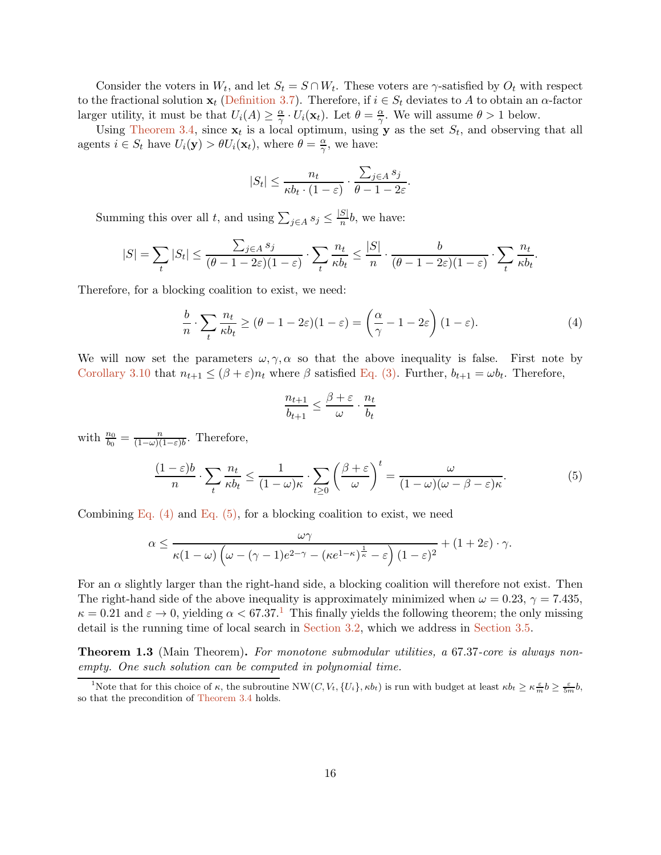Consider the voters in  $W_t$ , and let  $S_t = S \cap W_t$ . These voters are  $\gamma$ -satisfied by  $O_t$  with respect to the fractional solution  $x_t$  [\(Definition 3.7\)](#page-12-3). Therefore, if  $i \in S_t$  deviates to A to obtain an  $\alpha$ -factor larger utility, it must be that  $U_i(A) \geq \frac{\alpha}{\gamma}$  $\frac{\alpha}{\gamma} \cdot U_i(\mathbf{x}_t)$ . Let  $\theta = \frac{\alpha}{\gamma}$  $\frac{\alpha}{\gamma}$ . We will assume  $\theta > 1$  below.

Using [Theorem 3.4,](#page-8-0) since  $x_t$  is a local optimum, using y as the set  $S_t$ , and observing that all agents  $i \in S_t$  have  $U_i(\mathbf{y}) > \theta U_i(\mathbf{x}_t)$ , where  $\theta = \frac{\alpha}{\gamma}$  $\frac{\alpha}{\gamma}$ , we have:

$$
|S_t| \le \frac{n_t}{\kappa b_t \cdot (1-\varepsilon)} \cdot \frac{\sum_{j \in A} s_j}{\theta - 1 - 2\varepsilon}.
$$

Summing this over all t, and using  $\sum_{j \in A} s_j \leq \frac{|S|}{n} b$ , we have:

$$
|S| = \sum_{t} |S_t| \le \frac{\sum_{j \in A} s_j}{(\theta - 1 - 2\varepsilon)(1 - \varepsilon)} \cdot \sum_{t} \frac{n_t}{\kappa b_t} \le \frac{|S|}{n} \cdot \frac{b}{(\theta - 1 - 2\varepsilon)(1 - \varepsilon)} \cdot \sum_{t} \frac{n_t}{\kappa b_t}
$$

Therefore, for a blocking coalition to exist, we need:

<span id="page-15-0"></span>
$$
\frac{b}{n} \cdot \sum_{t} \frac{n_t}{\kappa b_t} \ge (\theta - 1 - 2\varepsilon)(1 - \varepsilon) = \left(\frac{\alpha}{\gamma} - 1 - 2\varepsilon\right)(1 - \varepsilon). \tag{4}
$$

.

We will now set the parameters  $\omega, \gamma, \alpha$  so that the above inequality is false. First note by [Corollary 3.10](#page-13-1) that  $n_{t+1} \leq (\beta + \varepsilon)n_t$  where  $\beta$  satisfied [Eq. \(3\).](#page-12-2) Further,  $b_{t+1} = \omega b_t$ . Therefore,

$$
\frac{n_{t+1}}{b_{t+1}} \le \frac{\beta + \varepsilon}{\omega} \cdot \frac{n_t}{b_t}
$$

with  $\frac{n_0}{b_0} = \frac{n}{(1-\omega)(}$  $\frac{n}{(1-\omega)(1-\varepsilon)b}$ . Therefore,

<span id="page-15-1"></span>
$$
\frac{(1-\varepsilon)b}{n} \cdot \sum_{t} \frac{n_t}{\kappa b_t} \le \frac{1}{(1-\omega)\kappa} \cdot \sum_{t\ge 0} \left(\frac{\beta+\varepsilon}{\omega}\right)^t = \frac{\omega}{(1-\omega)(\omega-\beta-\varepsilon)\kappa}.\tag{5}
$$

Combining Eq.  $(4)$  and Eq.  $(5)$ , for a blocking coalition to exist, we need

$$
\alpha \le \frac{\omega \gamma}{\kappa (1-\omega) \left(\omega-(\gamma-1) e^{2-\gamma}-(\kappa e^{1-\kappa})^{\frac{1}{\kappa}}-\varepsilon\right) (1-\varepsilon)^2}+(1+2\varepsilon)\cdot \gamma.
$$

For an  $\alpha$  slightly larger than the right-hand side, a blocking coalition will therefore not exist. Then The right-hand side of the above inequality is approximately minimized when  $\omega = 0.23$ ,  $\gamma = 7.435$ ,  $\kappa = 0.21$  $\kappa = 0.21$  and  $\varepsilon \to 0$ , yielding  $\alpha < 67.37$ .<sup>1</sup> This finally yields the following theorem; the only missing detail is the running time of local search in [Section 3.2,](#page-7-2) which we address in [Section 3.5.](#page-16-0)

Theorem 1.3 (Main Theorem). *For monotone submodular utilities, a* 67.37*-core is always nonempty. One such solution can be computed in polynomial time.*

<span id="page-15-2"></span><sup>&</sup>lt;sup>1</sup>Note that for this choice of  $\kappa$ , the subroutine NW(C,  $V_t$ ,  $\{U_i\}$ ,  $\kappa b_t$ ) is run with budget at least  $\kappa b_t \geq \kappa \frac{\varepsilon}{m} b \geq \frac{\varepsilon}{5m} b$ , so that the precondition of [Theorem 3.4](#page-8-0) holds.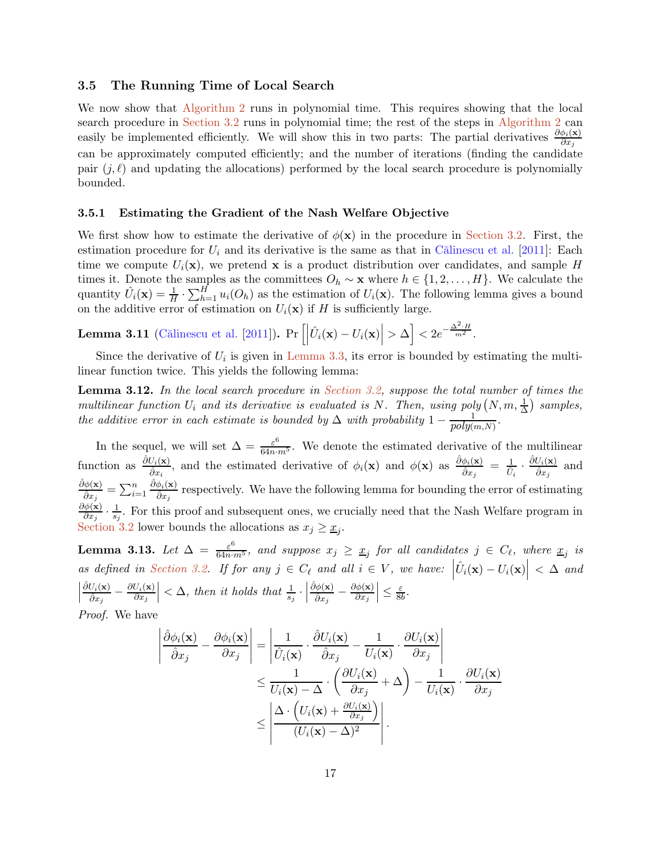# <span id="page-16-0"></span>3.5 The Running Time of Local Search

We now show that [Algorithm 2](#page-14-0) runs in polynomial time. This requires showing that the local search procedure in [Section 3.2](#page-7-2) runs in polynomial time; the rest of the steps in [Algorithm 2](#page-14-0) can easily be implemented efficiently. We will show this in two parts: The partial derivatives  $\frac{\partial \phi_i(\mathbf{x})}{\partial x_j}$ can be approximately computed efficiently; and the number of iterations (finding the candidate pair  $(j, \ell)$  and updating the allocations) performed by the local search procedure is polynomially bounded.

#### 3.5.1 Estimating the Gradient of the Nash Welfare Objective

We first show how to estimate the derivative of  $\phi(\mathbf{x})$  in the procedure in [Section 3.2.](#page-7-2) First, the estimation procedure for  $U_i$  and its derivative is the same as that in Călinescu et al. [\[2011](#page-27-4)]: Each time we compute  $U_i(\mathbf{x})$ , we pretend x is a product distribution over candidates, and sample H times it. Denote the samples as the committees  $O_h \sim \mathbf{x}$  where  $h \in \{1, 2, \ldots, H\}$ . We calculate the quantity  $\hat{U}_i(\mathbf{x}) = \frac{1}{H} \cdot \sum_{h=1}^H u_i(O_h)$  as the estimation of  $U_i(\mathbf{x})$ . The following lemma gives a bound on the additive error of estimation on  $U_i(\mathbf{x})$  if H is sufficiently large.

**Lemma 3.11** (Călinescu et al. [2011]). 
$$
\Pr\left[\left|\hat{U}_i(\mathbf{x}) - U_i(\mathbf{x})\right| > \Delta\right] < 2e^{-\frac{\Delta^2 \cdot H}{m^2}}
$$
.

<span id="page-16-2"></span>Since the derivative of  $U_i$  is given in [Lemma 3.3,](#page-7-1) its error is bounded by estimating the multilinear function twice. This yields the following lemma:

Lemma 3.12. *In the local search procedure in [Section 3.2,](#page-7-2) suppose the total number of times the multilinear function*  $U_i$  *and its derivative is evaluated is* N. Then, using poly  $(N, m, \frac{1}{\Delta})$  samples, *the additive error in each estimate is bounded by*  $\Delta$  *with probability*  $1 - \frac{1}{poly(m,N)}$ .

In the sequel, we will set  $\Delta = \frac{\varepsilon^6}{64n \cdot m^5}$ . We denote the estimated derivative of the multilinear function as  $\frac{\partial U_i(\mathbf{x})}{\partial x}$  $\frac{U_i(\mathbf{x})}{\hat{\partial}x_i}$ , and the estimated derivative of  $\phi_i(\mathbf{x})$  and  $\phi(\mathbf{x})$  as  $\frac{\hat{\partial}\phi_i(\mathbf{x})}{\hat{\partial}x_j}$  $\frac{\phi_i(\mathbf{x})}{\hat{\partial}x_j} \;=\; \frac{1}{\hat{U}_i}\,\cdot\, \frac{\hat{\partial}U_i(\mathbf{x})}{\hat{\partial}x_j}$  $\frac{\partial i(\mathbf{x})}{\partial x_j}$  and  $\hat{\partial}\phi(\mathbf{x})$  $\frac{\partial \phi(\mathbf{x})}{\partial x_j} = \sum_{i=1}^n$  $\hat{\partial}\phi_i(\mathbf{x})$  $\frac{\partial \hat{\theta}_{i}(x)}{\partial x_{j}}$  respectively. We have the following lemma for bounding the error of estimating  $\partial \phi(\mathbf{x})$  $\frac{\partial \phi(\mathbf{x})}{\partial x_j} \cdot \frac{1}{s_j}$  $\frac{1}{s_j}$ . For this proof and subsequent ones, we crucially need that the Nash Welfare program in [Section 3.2](#page-7-2) lower bounds the allocations as  $x_j \geq \underline{x}_j$ .

<span id="page-16-1"></span>**Lemma 3.13.** Let  $\Delta = \frac{\varepsilon^6}{64n \cdot m^5}$ , and suppose  $x_j \geq x_j$  for all candidates  $j \in C_\ell$ , where  $x_j$  is *as defined in [Section 3.2.](#page-7-2) If for any*  $j \in C_{\ell}$  *and all*  $i \in V$ *, we have:*  $\left| \hat{U}_i(\mathbf{x}) - U_i(\mathbf{x}) \right| < \Delta$  and  $\begin{array}{c} \begin{array}{c} \begin{array}{c} \end{array} \\ \begin{array}{c} \end{array} \end{array} \end{array}$  $\hat{\partial}U_i(\mathbf{x})$  $\frac{\partial U_i(\mathbf{x})}{\partial x_j}-\frac{\partial U_i(\mathbf{x})}{\partial x_j}$  $\partial x_j$  $\vert < \Delta$ *, then it holds that*  $\frac{1}{s_j}$ .  $\hat{\partial}\phi(\mathbf{x})$  $\frac{\partial \phi(\mathbf{x})}{\partial x_j} - \frac{\partial \phi(\mathbf{x})}{\partial x_j}$  $\partial x_j$  $\leq \frac{\varepsilon}{8b}$ .

*Proof.* We have

$$
\left| \frac{\hat{\partial}\phi_i(\mathbf{x})}{\hat{\partial}x_j} - \frac{\partial\phi_i(\mathbf{x})}{\partial x_j} \right| = \left| \frac{1}{\hat{U}_i(\mathbf{x})} \cdot \frac{\hat{\partial}U_i(\mathbf{x})}{\hat{\partial}x_j} - \frac{1}{U_i(\mathbf{x})} \cdot \frac{\partial U_i(\mathbf{x})}{\partial x_j} \right|
$$
  

$$
\leq \frac{1}{U_i(\mathbf{x}) - \Delta} \cdot \left( \frac{\partial U_i(\mathbf{x})}{\partial x_j} + \Delta \right) - \frac{1}{U_i(\mathbf{x})} \cdot \frac{\partial U_i(\mathbf{x})}{\partial x_j}
$$
  

$$
\leq \left| \frac{\Delta \cdot \left( U_i(\mathbf{x}) + \frac{\partial U_i(\mathbf{x})}{\partial x_j} \right)}{(U_i(\mathbf{x}) - \Delta)^2} \right|.
$$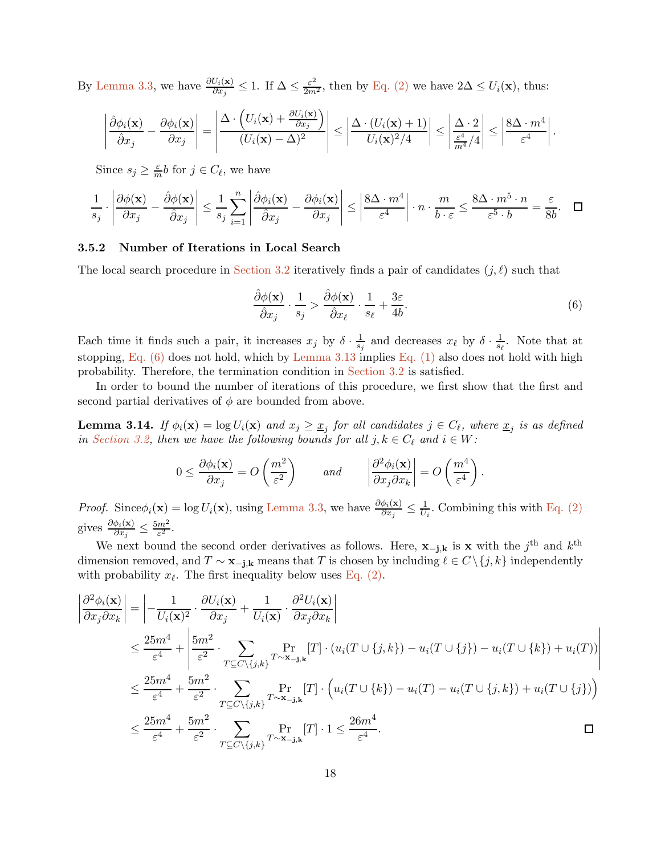By [Lemma 3.3,](#page-7-1) we have  $\frac{\partial U_i(\mathbf{x})}{\partial x_j} \leq 1$ . If  $\Delta \leq \frac{\varepsilon^2}{2m^2}$ , then by [Eq. \(2\)](#page-9-0) we have  $2\Delta \leq U_i(\mathbf{x})$ , thus:

$$
\left|\frac{\hat{\partial}\phi_i(\mathbf{x})}{\hat{\partial}x_j}-\frac{\partial\phi_i(\mathbf{x})}{\partial x_j}\right|=\left|\frac{\Delta\cdot\left(U_i(\mathbf{x})+\frac{\partial U_i(\mathbf{x})}{\partial x_j}\right)}{(U_i(\mathbf{x})-\Delta)^2}\right|\leq \left|\frac{\Delta\cdot\left(U_i(\mathbf{x})+1\right)}{U_i(\mathbf{x})^2/4}\right|\leq \left|\frac{\Delta\cdot 2}{\frac{\varepsilon^4}{m^4}/4}\right|\leq \left|\frac{8\Delta\cdot m^4}{\varepsilon^4}\right|.
$$

Since  $s_j \geq \frac{\varepsilon}{m}b$  for  $j \in C_{\ell}$ , we have

$$
\frac{1}{s_j} \cdot \left| \frac{\partial \phi(\mathbf{x})}{\partial x_j} - \frac{\partial \phi(\mathbf{x})}{\partial x_j} \right| \le \frac{1}{s_j} \sum_{i=1}^n \left| \frac{\partial \phi_i(\mathbf{x})}{\partial x_j} - \frac{\partial \phi_i(\mathbf{x})}{\partial x_j} \right| \le \left| \frac{8\Delta \cdot m^4}{\varepsilon^4} \right| \cdot n \cdot \frac{m}{b \cdot \varepsilon} \le \frac{8\Delta \cdot m^5 \cdot n}{\varepsilon^5 \cdot b} = \frac{\varepsilon}{8b}. \quad \Box
$$

# 3.5.2 Number of Iterations in Local Search

The local search procedure in [Section 3.2](#page-7-2) iteratively finds a pair of candidates  $(j, \ell)$  such that

<span id="page-17-0"></span>
$$
\frac{\hat{\partial}\phi(\mathbf{x})}{\hat{\partial}x_j} \cdot \frac{1}{s_j} > \frac{\hat{\partial}\phi(\mathbf{x})}{\hat{\partial}x_\ell} \cdot \frac{1}{s_\ell} + \frac{3\varepsilon}{4b}.\tag{6}
$$

 $\overline{\phantom{a}}$  $\overline{\phantom{a}}$ I  $\overline{\phantom{a}}$ I  $\overline{1}$ 

Each time it finds such a pair, it increases  $x_j$  by  $\delta \cdot \frac{1}{s}$  $\frac{1}{s_j}$  and decreases  $x_\ell$  by  $\delta \cdot \frac{1}{s_\ell}$  $\frac{1}{s_{\ell}}$ . Note that at stopping, [Eq. \(6\)](#page-17-0) does not hold, which by [Lemma 3.13](#page-16-1) implies [Eq. \(1\)](#page-8-1) also does not hold with high probability. Therefore, the termination condition in [Section 3.2](#page-7-2) is satisfied.

<span id="page-17-1"></span>In order to bound the number of iterations of this procedure, we first show that the first and second partial derivatives of  $\phi$  are bounded from above.

**Lemma 3.14.** If  $\phi_i(\mathbf{x}) = \log U_i(\mathbf{x})$  and  $x_j \geq \underline{x}_j$  for all candidates  $j \in C_\ell$ , where  $\underline{x}_j$  is as defined *in [Section 3.2,](#page-7-2) then we have the following bounds for all*  $j, k \in C_{\ell}$  *and*  $i \in W$ :

$$
0 \le \frac{\partial \phi_i(\mathbf{x})}{\partial x_j} = O\left(\frac{m^2}{\varepsilon^2}\right) \qquad \text{and} \qquad \left|\frac{\partial^2 \phi_i(\mathbf{x})}{\partial x_j \partial x_k}\right| = O\left(\frac{m^4}{\varepsilon^4}\right).
$$

*Proof.* Since  $\phi_i(\mathbf{x}) = \log U_i(\mathbf{x})$ , using [Lemma 3.3,](#page-7-1) we have  $\frac{\partial \phi_i(\mathbf{x})}{\partial x_j} \leq \frac{1}{U_i}$  $\frac{1}{U_i}$ . Combining this with [Eq. \(2\)](#page-9-0) gives  $\frac{\partial \phi_i(\mathbf{x})}{\partial x_j} \leq \frac{5m^2}{\varepsilon^2}$  $\frac{m^2}{\varepsilon^2}$ .

We next bound the second order derivatives as follows. Here,  $\mathbf{x}_{-j,k}$  is  $\mathbf{x}$  with the j<sup>th</sup> and  $k^{\text{th}}$ dimension removed, and  $T \sim \mathbf{x}_{-j,k}$  means that T is chosen by including  $\ell \in C \setminus \{j,k\}$  independently with probability  $x_{\ell}$ . The first inequality below uses [Eq. \(2\).](#page-9-0)

$$
\begin{split}\n\left| \frac{\partial^2 \phi_i(\mathbf{x})}{\partial x_j \partial x_k} \right| &= \left| -\frac{1}{U_i(\mathbf{x})^2} \cdot \frac{\partial U_i(\mathbf{x})}{\partial x_j} + \frac{1}{U_i(\mathbf{x})} \cdot \frac{\partial^2 U_i(\mathbf{x})}{\partial x_j \partial x_k} \right| \\
&\leq \frac{25m^4}{\varepsilon^4} + \left| \frac{5m^2}{\varepsilon^2} \cdot \sum_{T \subseteq C \setminus \{j,k\}} \Pr_{T \sim \mathbf{x}_{-j,\mathbf{k}}} [T] \cdot (u_i(T \cup \{j,k\}) - u_i(T \cup \{j\}) - u_i(T \cup \{k\}) + u_i(T)) \right| \\
&\leq \frac{25m^4}{\varepsilon^4} + \frac{5m^2}{\varepsilon^2} \cdot \sum_{T \subseteq C \setminus \{j,k\}} \Pr_{T \sim \mathbf{x}_{-j,\mathbf{k}}} [T] \cdot \left( u_i(T \cup \{k\}) - u_i(T) - u_i(T \cup \{j,k\}) + u_i(T \cup \{j\}) \right) \\
&\leq \frac{25m^4}{\varepsilon^4} + \frac{5m^2}{\varepsilon^2} \cdot \sum_{T \subseteq C \setminus \{j,k\}} \Pr_{T \sim \mathbf{x}_{-j,\mathbf{k}}} [T] \cdot 1 \leq \frac{26m^4}{\varepsilon^4}.\n\end{split}
$$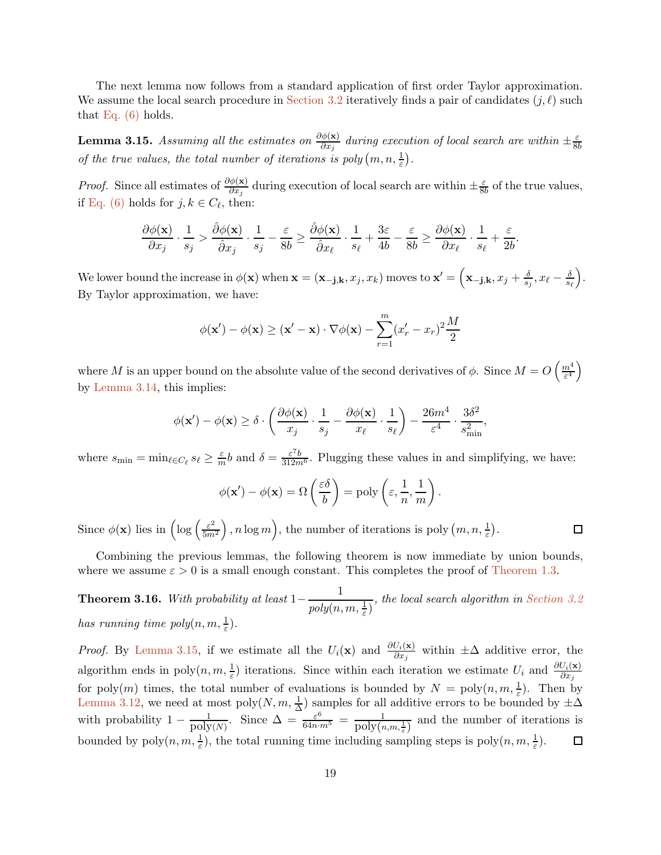The next lemma now follows from a standard application of first order Taylor approximation. We assume the local search procedure in [Section 3.2](#page-7-2) iteratively finds a pair of candidates  $(j, \ell)$  such that [Eq. \(6\)](#page-17-0) holds.

<span id="page-18-0"></span>**Lemma 3.15.** Assuming all the estimates on  $\frac{\partial \phi(\mathbf{x})}{\partial x_j}$  during execution of local search are within  $\pm \frac{\varepsilon}{8b}$ *of the true values, the total number of iterations is poly*  $(m, n, \frac{1}{\varepsilon})$ .

*Proof.* Since all estimates of  $\frac{\partial \phi(x)}{\partial x_j}$  during execution of local search are within  $\pm \frac{\varepsilon}{8l}$  $\frac{\varepsilon}{8b}$  of the true values, if [Eq. \(6\)](#page-17-0) holds for  $j, k \in C_{\ell}$ , then:

$$
\frac{\partial \phi(\mathbf{x})}{\partial x_j}\cdot \frac{1}{s_j} > \frac{\hat{\partial} \phi(\mathbf{x})}{\hat{\partial} x_j}\cdot \frac{1}{s_j} - \frac{\varepsilon}{8b} \geq \frac{\hat{\partial} \phi(\mathbf{x})}{\hat{\partial} x_\ell}\cdot \frac{1}{s_\ell} + \frac{3\varepsilon}{4b} - \frac{\varepsilon}{8b} \geq \frac{\partial \phi(\mathbf{x})}{\partial x_\ell}\cdot \frac{1}{s_\ell} + \frac{\varepsilon}{2b}.
$$

We lower bound the increase in  $\phi(\mathbf{x})$  when  $\mathbf{x} = (\mathbf{x}_{-\mathbf{j},\mathbf{k}}, x_j, x_k)$  moves to  $\mathbf{x}' = (\mathbf{x}_{-\mathbf{j},\mathbf{k}}, x_j + \frac{\delta}{s_j}, x_\ell - \frac{\delta}{s_\ell})$ . By Taylor approximation, we have:

$$
\phi(\mathbf{x}') - \phi(\mathbf{x}) \ge (\mathbf{x}' - \mathbf{x}) \cdot \nabla \phi(\mathbf{x}) - \sum_{r=1}^{m} (x'_r - x_r)^2 \frac{M}{2}
$$

where M is an upper bound on the absolute value of the second derivatives of  $\phi$ . Since  $M = O\left(\frac{m^4}{\epsilon^4}\right)$  $\frac{n^4}{\varepsilon^4}\bigg)$ by [Lemma 3.14,](#page-17-1) this implies:

$$
\phi(\mathbf{x}') - \phi(\mathbf{x}) \ge \delta \cdot \left(\frac{\partial \phi(\mathbf{x})}{x_j} \cdot \frac{1}{s_j} - \frac{\partial \phi(\mathbf{x})}{x_\ell} \cdot \frac{1}{s_\ell}\right) - \frac{26m^4}{\varepsilon^4} \cdot \frac{3\delta^2}{s_{\min}^2},
$$

where  $s_{\min} = \min_{\ell \in C_{\ell}} s_{\ell} \ge \frac{\varepsilon}{m} b$  and  $\delta = \frac{\varepsilon^7 b}{312 m^6}$ . Plugging these values in and simplifying, we have:

$$
\phi(\mathbf{x}') - \phi(\mathbf{x}) = \Omega\left(\frac{\varepsilon\delta}{b}\right) = \text{poly}\left(\varepsilon, \frac{1}{n}, \frac{1}{m}\right).
$$

Since  $\phi(\mathbf{x})$  lies in  $\left(\log\left(\frac{\varepsilon^2}{5m}\right)\right)$  $\left(\frac{\varepsilon^2}{5m^2}\right)$ , *n* log *m*), the number of iterations is poly  $(m, n, \frac{1}{\varepsilon})$ .

Combining the previous lemmas, the following theorem is now immediate by union bounds, where we assume  $\varepsilon > 0$  is a small enough constant. This completes the proof of [Theorem 1.3.](#page-2-1)

 $\Box$ 

Theorem 3.16. *With probability at least*  $1-\frac{1}{1+\frac{1}{2}}$  $poly(n, m, \frac{1}{\varepsilon})$ *, the local search algorithm in [Section 3.2](#page-7-2) has running time poly* $(n, m, \frac{1}{\varepsilon}).$ 

*Proof.* By [Lemma 3.15,](#page-18-0) if we estimate all the  $U_i(\mathbf{x})$  and  $\frac{\partial U_i(\mathbf{x})}{\partial x_j}$  within  $\pm \Delta$  additive error, the algorithm ends in poly $(n, m, \frac{1}{\varepsilon})$  iterations. Since within each iteration we estimate  $U_i$  and  $\frac{\partial U_i(\mathbf{x})}{\partial x_j}$ for poly $(m)$  times, the total number of evaluations is bounded by  $N = \text{poly}(n, m, \frac{1}{\varepsilon})$ . Then by [Lemma 3.12,](#page-16-2) we need at most poly $(N, m, \frac{1}{\Delta})$  samples for all additive errors to be bounded by  $\pm \Delta$ with probability  $1 - \frac{1}{poly(N)}$ . Since  $\Delta = \frac{\varepsilon^6}{64n \cdot m^5} = \frac{1}{poly(n,m,\frac{1}{\varepsilon})}$  and the number of iterations is bounded by  $poly(n, m, \frac{1}{\varepsilon})$ , the total running time including sampling steps is  $poly(n, m, \frac{1}{\varepsilon})$ .  $\Box$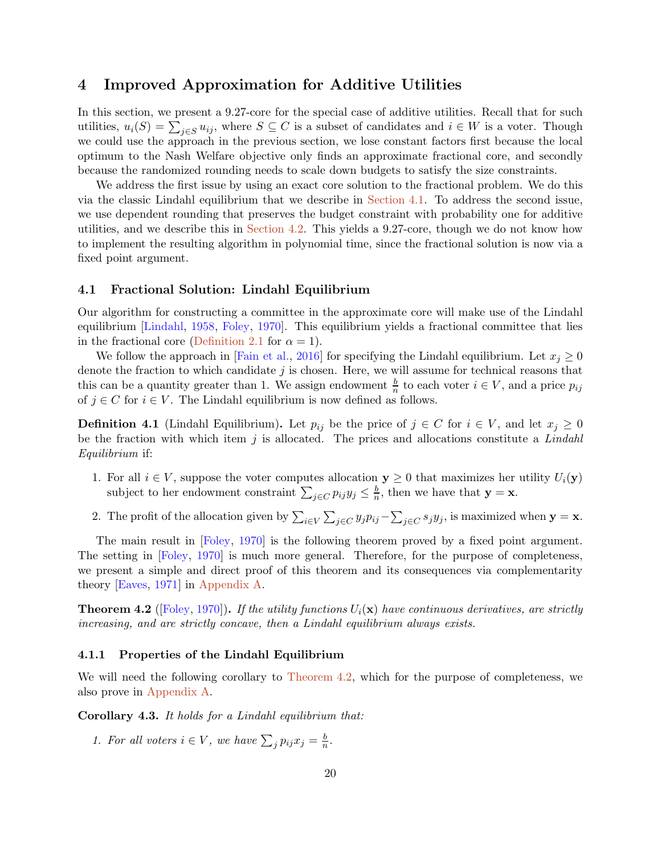# <span id="page-19-0"></span>4 Improved Approximation for Additive Utilities

In this section, we present a 9.27-core for the special case of additive utilities. Recall that for such utilities,  $u_i(S) = \sum_{j \in S} u_{ij}$ , where  $S \subseteq C$  is a subset of candidates and  $i \in W$  is a voter. Though we could use the approach in the previous section, we lose constant factors first because the local optimum to the Nash Welfare objective only finds an approximate fractional core, and secondly because the randomized rounding needs to scale down budgets to satisfy the size constraints.

We address the first issue by using an exact core solution to the fractional problem. We do this via the classic Lindahl equilibrium that we describe in [Section 4.1.](#page-19-1) To address the second issue, we use dependent rounding that preserves the budget constraint with probability one for additive utilities, and we describe this in [Section 4.2.](#page-21-1) This yields a 9.27-core, though we do not know how to implement the resulting algorithm in polynomial time, since the fractional solution is now via a fixed point argument.

### <span id="page-19-1"></span>4.1 Fractional Solution: Lindahl Equilibrium

Our algorithm for constructing a committee in the approximate core will make use of the Lindahl equilibrium [\[Lindahl,](#page-28-3) [1958,](#page-28-3) [Foley](#page-28-4), [1970](#page-28-4)]. This equilibrium yields a fractional committee that lies in the fractional core [\(Definition 2.1](#page-6-1) for  $\alpha = 1$ ).

We follow the approach in [Fain et al., 2016] for specifying the Lindahl equilibrium. Let  $x_j \geq 0$ denote the fraction to which candidate  $j$  is chosen. Here, we will assume for technical reasons that this can be a quantity greater than 1. We assign endowment  $\frac{b}{n}$  to each voter  $i \in V$ , and a price  $p_{ij}$ of  $j \in C$  for  $i \in V$ . The Lindahl equilibrium is now defined as follows.

<span id="page-19-5"></span>**Definition 4.1** (Lindahl Equilibrium). Let  $p_{ij}$  be the price of  $j \in C$  for  $i \in V$ , and let  $x_j \geq 0$ be the fraction with which item j is allocated. The prices and allocations constitute a *Lindahl Equilibrium* if:

- <span id="page-19-7"></span>1. For all  $i \in V$ , suppose the voter computes allocation  $y \ge 0$  that maximizes her utility  $U_i(y)$ subject to her endowment constraint  $\sum_{j \in C} p_{ij} y_j \leq \frac{b}{n}$  $\frac{b}{n}$ , then we have that  $y = x$ .
- <span id="page-19-6"></span>2. The profit of the allocation given by  $\sum_{i\in V}\sum_{j\in C}y_jp_{ij}-\sum_{j\in C}s_jy_j$ , is maximized when  $\mathbf{y}=\mathbf{x}$ .

The main result in [\[Foley](#page-28-4), [1970](#page-28-4)] is the following theorem proved by a fixed point argument. The setting in [\[Foley](#page-28-4), [1970](#page-28-4)] is much more general. Therefore, for the purpose of completeness, we present a simple and direct proof of this theorem and its consequences via complementarity theory [\[Eaves](#page-27-13), [1971](#page-27-13)] in [Appendix A.](#page-29-3)

<span id="page-19-2"></span>**Theorem 4.2** ([\[Foley](#page-28-4), [1970\]](#page-28-4)). *If the utility functions*  $U_i(\mathbf{x})$  *have continuous derivatives, are strictly increasing, and are strictly concave, then a Lindahl equilibrium always exists.*

### 4.1.1 Properties of the Lindahl Equilibrium

<span id="page-19-3"></span>We will need the following corollary to [Theorem 4.2,](#page-19-2) which for the purpose of completeness, we also prove in [Appendix A.](#page-29-3)

<span id="page-19-4"></span>Corollary 4.3. *It holds for a Lindahl equilibrium that:*

*1. For all voters*  $i \in V$ *, we have*  $\sum_j p_{ij} x_j = \frac{b}{n}$ *.*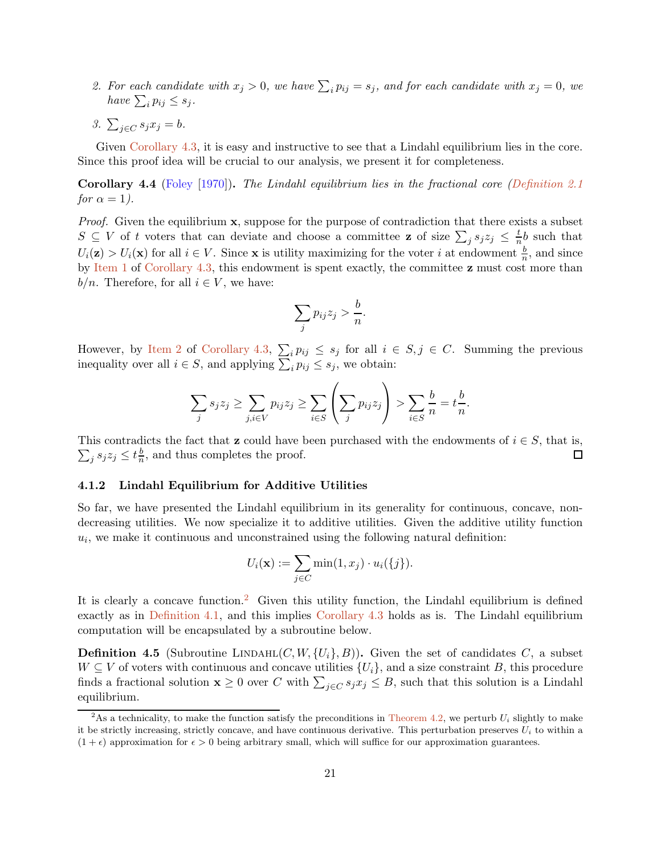- <span id="page-20-0"></span>2. For each candidate with  $x_j > 0$ , we have  $\sum_i p_{ij} = s_j$ , and for each candidate with  $x_j = 0$ , we *have*  $\sum_{i} p_{ij} \leq s_j$ .
- 3.  $\sum_{j \in C} s_j x_j = b$ .

<span id="page-20-2"></span>Given [Corollary 4.3,](#page-19-3) it is easy and instructive to see that a Lindahl equilibrium lies in the core. Since this proof idea will be crucial to our analysis, we present it for completeness.

Corollary 4.4 [\(Foley](#page-28-4) [\[1970](#page-28-4)]). *The Lindahl equilibrium lies in the fractional core [\(Definition 2.1](#page-6-1) for*  $\alpha = 1$ *)*.

*Proof.* Given the equilibrium **x**, suppose for the purpose of contradiction that there exists a subset  $S \subseteq V$  of t voters that can deviate and choose a committee **z** of size  $\sum_j s_j z_j \leq \frac{t}{n}$  $\frac{t}{n}$ b such that  $U_i(\mathbf{z}) > U_i(\mathbf{x})$  for all  $i \in V$ . Since **x** is utility maximizing for the voter i at endowment  $\frac{b}{n}$ , and since by [Item 1](#page-19-4) of [Corollary 4.3,](#page-19-3) this endowment is spent exactly, the committee z must cost more than  $b/n$ . Therefore, for all  $i \in V$ , we have:

$$
\sum_j p_{ij} z_j > \frac{b}{n}.
$$

However, by [Item 2](#page-20-0) of [Corollary 4.3,](#page-19-3)  $\sum_i p_{ij} \leq s_j$  for all  $i \in S, j \in C$ . Summing the previous inequality over all  $i \in S$ , and applying  $\sum_i p_{ij} \leq s_j$ , we obtain:

$$
\sum_{j} s_j z_j \ge \sum_{j,i \in V} p_{ij} z_j \ge \sum_{i \in S} \left( \sum_j p_{ij} z_j \right) > \sum_{i \in S} \frac{b}{n} = t \frac{b}{n}.
$$

This contradicts the fact that **z** could have been purchased with the endowments of  $i \in S$ , that is,  $\sum_j s_j z_j \leq t \frac{b}{n}$  $\frac{b}{n}$ , and thus completes the proof. □

#### 4.1.2 Lindahl Equilibrium for Additive Utilities

So far, we have presented the Lindahl equilibrium in its generality for continuous, concave, nondecreasing utilities. We now specialize it to additive utilities. Given the additive utility function  $u_i$ , we make it continuous and unconstrained using the following natural definition:

$$
U_i(\mathbf{x}) := \sum_{j \in C} \min(1, x_j) \cdot u_i(\{j\}).
$$

It is clearly a concave function.<sup>[2](#page-20-1)</sup> Given this utility function, the Lindahl equilibrium is defined exactly as in [Definition 4.1,](#page-19-5) and this implies [Corollary 4.3](#page-19-3) holds as is. The Lindahl equilibrium computation will be encapsulated by a subroutine below.

**Definition 4.5** (Subroutine LINDAHL $(C, W, \{U_i\}, B)$ ). Given the set of candidates C, a subset  $W \subseteq V$  of voters with continuous and concave utilities  $\{U_i\}$ , and a size constraint B, this procedure finds a fractional solution  $\mathbf{x} \geq 0$  over C with  $\sum_{j \in C} s_j x_j \leq B$ , such that this solution is a Lindahl equilibrium.

<span id="page-20-1"></span><sup>&</sup>lt;sup>2</sup>As a technicality, to make the function satisfy the preconditions in [Theorem 4.2,](#page-19-2) we perturb  $U_i$  slightly to make it be strictly increasing, strictly concave, and have continuous derivative. This perturbation preserves  $U_i$  to within a  $(1 + \epsilon)$  approximation for  $\epsilon > 0$  being arbitrary small, which will suffice for our approximation guarantees.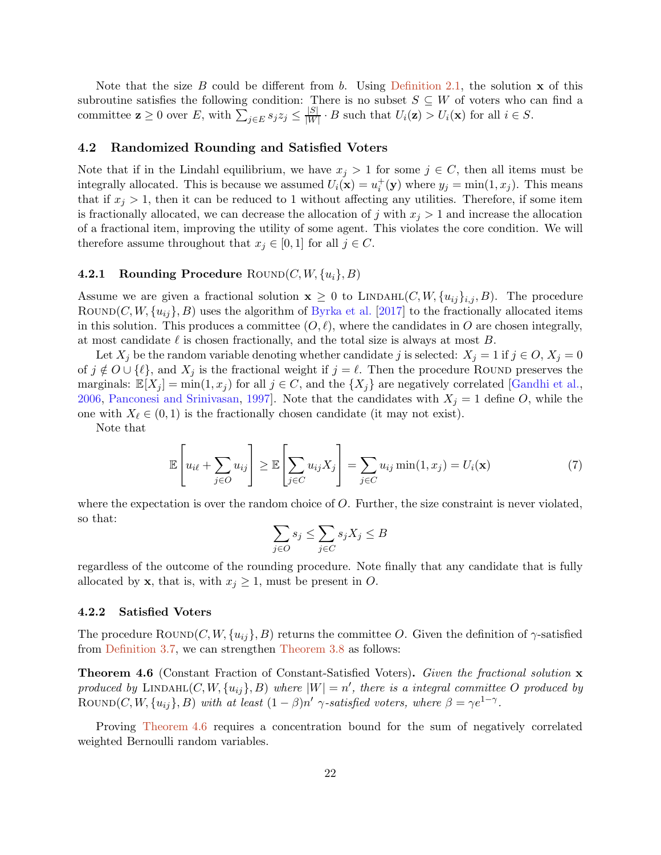Note that the size B could be different from b. Using [Definition 2.1,](#page-6-1) the solution  $x$  of this subroutine satisfies the following condition: There is no subset  $S \subseteq W$  of voters who can find a committee  $\mathbf{z} \geq 0$  over E, with  $\sum_{j \in E} s_j z_j \leq \frac{|S|}{|W|}$  $\frac{|\mathcal{S}|}{|W|} \cdot B$  such that  $U_i(\mathbf{z}) > U_i(\mathbf{x})$  for all  $i \in S$ .

### <span id="page-21-1"></span>4.2 Randomized Rounding and Satisfied Voters

Note that if in the Lindahl equilibrium, we have  $x_j > 1$  for some  $j \in C$ , then all items must be integrally allocated. This is because we assumed  $U_i(\mathbf{x}) = u_i^+(\mathbf{y})$  where  $y_j = \min(1, x_j)$ . This means that if  $x_j > 1$ , then it can be reduced to 1 without affecting any utilities. Therefore, if some item is fractionally allocated, we can decrease the allocation of j with  $x_j > 1$  and increase the allocation of a fractional item, improving the utility of some agent. This violates the core condition. We will therefore assume throughout that  $x_j \in [0,1]$  for all  $j \in C$ .

# **4.2.1 Rounding Procedure** ROUND $(C, W, \{u_i\}, B)$

Assume we are given a fractional solution  $x \geq 0$  to LINDAHL $(C, W, \{u_{ij}\}_{i,j}, B)$ . The procedure ROUND(C,  $W$ ,  $\{u_{ij}\}$ , B) uses the algorithm of Byrka et al. [2017] to the fractionally allocated items in this solution. This produces a committee  $(O, \ell)$ , where the candidates in O are chosen integrally, at most candidate  $\ell$  is chosen fractionally, and the total size is always at most B.

Let  $X_i$  be the random variable denoting whether candidate j is selected:  $X_j = 1$  if  $j \in O, X_j = 0$ of  $j \notin O \cup \{\ell\}$ , and  $X_j$  is the fractional weight if  $j = \ell$ . Then the procedure ROUND preserves the marginals:  $\mathbb{E}[X_j] = \min(1, x_j)$  for all  $j \in C$ , and the  $\{X_j\}$  are negatively correlated [\[Gandhi et al.](#page-28-7), [2006,](#page-28-7) [Panconesi and Srinivasan,](#page-28-12) [1997](#page-28-12)]. Note that the candidates with  $X_j = 1$  define O, while the one with  $X_{\ell} \in (0,1)$  is the fractionally chosen candidate (it may not exist).

Note that

$$
\mathbb{E}\left[u_{i\ell} + \sum_{j \in O} u_{ij}\right] \ge \mathbb{E}\left[\sum_{j \in C} u_{ij} X_j\right] = \sum_{j \in C} u_{ij} \min(1, x_j) = U_i(\mathbf{x})\tag{7}
$$

where the expectation is over the random choice of  $O$ . Further, the size constraint is never violated, so that:

$$
\sum_{j \in O} s_j \le \sum_{j \in C} s_j X_j \le B
$$

regardless of the outcome of the rounding procedure. Note finally that any candidate that is fully allocated by **x**, that is, with  $x_j \geq 1$ , must be present in O.

#### 4.2.2 Satisfied Voters

<span id="page-21-2"></span>The procedure  $\text{Round}(C, W, \{u_{ij}\}, B)$  returns the committee O. Given the definition of  $\gamma$ -satisfied from [Definition 3.7,](#page-12-3) we can strengthen [Theorem 3.8](#page-12-0) as follows:

Theorem 4.6 (Constant Fraction of Constant-Satisfied Voters). *Given the fractional solution* x  $p$ roduced by  $\text{LINDAHL}(C, W, \{u_{ij}\}, B)$  where  $|W| = n'$ , there is a integral committee O produced by ROUND(C, W,  $\{u_{ij}\}, B$ ) *with at least*  $(1 - \beta)n'$   $\gamma$ -satisfied voters, where  $\beta = \gamma e^{1-\gamma}$ .

<span id="page-21-0"></span>Proving [Theorem 4.6](#page-21-2) requires a concentration bound for the sum of negatively correlated weighted Bernoulli random variables.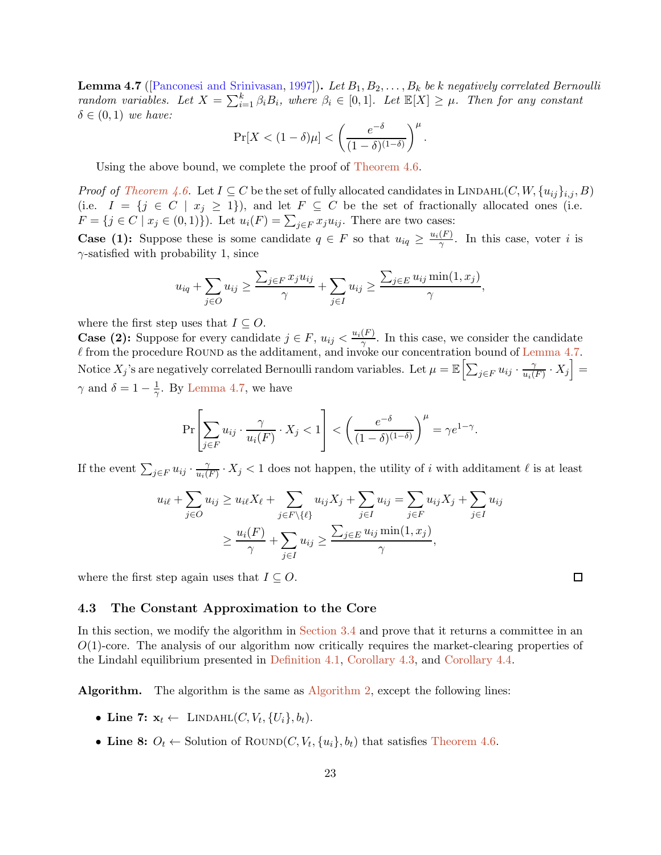**Lemma 4.7** ([\[Panconesi and Srinivasan](#page-28-12), [1997](#page-28-12)]). Let  $B_1, B_2, \ldots, B_k$  be k negatively correlated Bernoulli *random variables.* Let  $X = \sum_{i=1}^{k} \beta_i B_i$ , where  $\beta_i \in [0,1]$ . Let  $\mathbb{E}[X] \geq \mu$ . Then for any constant  $\delta \in (0,1)$  *we have:* 

$$
\Pr[X < (1 - \delta)\mu] < \left(\frac{e^{-\delta}}{(1 - \delta)^{(1 - \delta)}}\right)^{\mu}.
$$

Using the above bound, we complete the proof of [Theorem 4.6.](#page-21-2)

*Proof of [Theorem 4.6.](#page-21-2)* Let  $I \subseteq C$  be the set of fully allocated candidates in LINDAHL $(C, W, \{u_{ij}\}_{i,j}, B)$ (i.e.  $I = \{j \in C \mid x_j \geq 1\}$ ), and let  $F \subseteq C$  be the set of fractionally allocated ones (i.e.  $F = \{j \in C \mid x_j \in (0,1)\}\)$ . Let  $u_i(F) = \sum_{j \in F} x_j u_{ij}$ . There are two cases:

**Case (1):** Suppose these is some candidate  $q \in F$  so that  $u_{iq} \geq \frac{u_i(F)}{\gamma}$  $\frac{F}{\gamma}$ . In this case, voter *i* is  $\gamma$ -satisfied with probability 1, since

$$
u_{iq} + \sum_{j \in O} u_{ij} \ge \frac{\sum_{j \in F} x_j u_{ij}}{\gamma} + \sum_{j \in I} u_{ij} \ge \frac{\sum_{j \in E} u_{ij} \min(1, x_j)}{\gamma},
$$

where the first step uses that  $I \subseteq O$ .

**Case (2):** Suppose for every candidate  $j \in F$ ,  $u_{ij} < \frac{u_i(F)}{\gamma}$  $\frac{F(f)}{\gamma}$ . In this case, we consider the candidate  $\ell$  from the procedure ROUND as the additament, and invoke our concentration bound of [Lemma 4.7.](#page-21-0) Notice  $X_j$ 's are negatively correlated Bernoulli random variables. Let  $\mu = \mathbb{E} \Bigl[ \sum_{j \in F} u_{ij} \cdot \frac{\gamma}{u_i(j)} \Bigr]$  $\left[ \frac{\gamma}{u_i(F)} \cdot X_j \right] =$  $\gamma$  and  $\delta = 1 - \frac{1}{\gamma}$ . By [Lemma 4.7,](#page-21-0) we have

$$
\Pr\left[\sum_{j\in F} u_{ij} \cdot \frac{\gamma}{u_i(F)} \cdot X_j < 1\right] < \left(\frac{e^{-\delta}}{(1-\delta)^{(1-\delta)}}\right)^{\mu} = \gamma e^{1-\gamma}.
$$

If the event  $\sum_{j \in F} u_{ij} \cdot \frac{\gamma}{u_i}$  $\frac{\gamma}{u_i(F)} \cdot X_j < 1$  does not happen, the utility of i with additament  $\ell$  is at least

$$
u_{i\ell} + \sum_{j \in O} u_{ij} \ge u_{i\ell} X_{\ell} + \sum_{j \in F \setminus \{\ell\}} u_{ij} X_j + \sum_{j \in I} u_{ij} = \sum_{j \in F} u_{ij} X_j + \sum_{j \in I} u_{ij}
$$
  

$$
\ge \frac{u_i(F)}{\gamma} + \sum_{j \in I} u_{ij} \ge \frac{\sum_{j \in E} u_{ij} \min(1, x_j)}{\gamma},
$$

where the first step again uses that  $I \subseteq O$ .

### 4.3 The Constant Approximation to the Core

In this section, we modify the algorithm in [Section 3.4](#page-13-0) and prove that it returns a committee in an  $O(1)$ -core. The analysis of our algorithm now critically requires the market-clearing properties of the Lindahl equilibrium presented in [Definition 4.1,](#page-19-5) [Corollary 4.3,](#page-19-3) and [Corollary 4.4.](#page-20-2)

Algorithm. The algorithm is the same as [Algorithm 2,](#page-14-0) except the following lines:

- Line 7:  $\mathbf{x}_t \leftarrow \text{LINDAHL}(C, V_t, \{U_i\}, b_t).$
- Line 8:  $O_t \leftarrow$  Solution of ROUND $(C, V_t, \{u_i\}, b_t)$  that satisfies [Theorem 4.6.](#page-21-2)

 $\Box$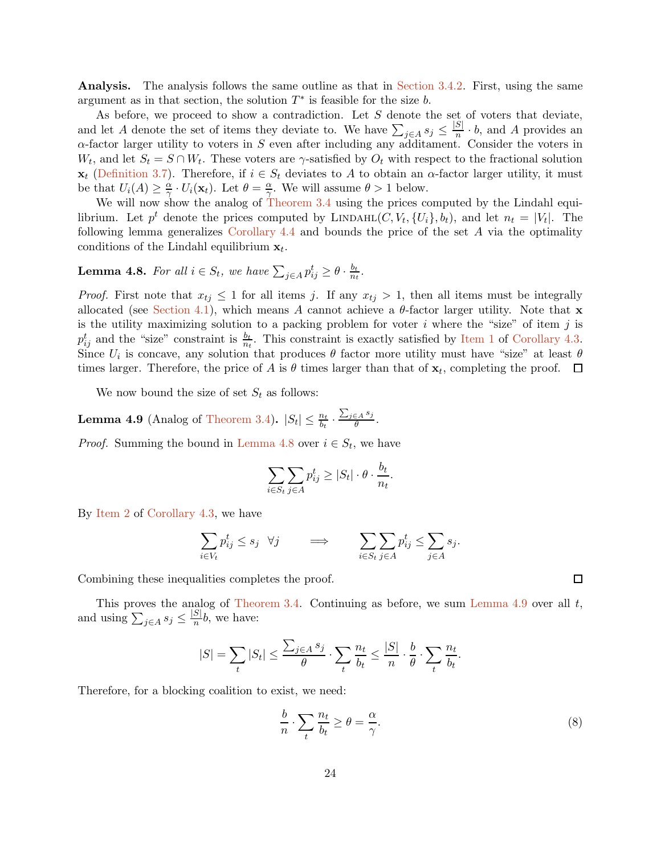Analysis. The analysis follows the same outline as that in [Section 3.4.2.](#page-14-1) First, using the same argument as in that section, the solution  $T^*$  is feasible for the size b.

As before, we proceed to show a contradiction. Let S denote the set of voters that deviate, and let A denote the set of items they deviate to. We have  $\sum_{j\in A} s_j \leq \frac{|S|}{n} \cdot b$ , and A provides an  $\alpha$ -factor larger utility to voters in S even after including any additament. Consider the voters in  $W_t$ , and let  $S_t = S \cap W_t$ . These voters are  $\gamma$ -satisfied by  $O_t$  with respect to the fractional solution  $\mathbf{x}_t$  [\(Definition 3.7\)](#page-12-3). Therefore, if  $i \in S_t$  deviates to A to obtain an  $\alpha$ -factor larger utility, it must be that  $U_i(A) \geq \frac{\alpha}{\gamma}$  $\frac{\alpha}{\gamma} \cdot U_i(\mathbf{x}_t)$ . Let  $\theta = \frac{\alpha}{\gamma}$  $\frac{\alpha}{\gamma}$ . We will assume  $\theta > 1$  below.

We will now show the analog of [Theorem 3.4](#page-8-0) using the prices computed by the Lindahl equilibrium. Let  $p^t$  denote the prices computed by LINDAHL $(C, V_t, \{U_i\}, b_t)$ , and let  $n_t = |V_t|$ . The following lemma generalizes [Corollary 4.4](#page-20-2) and bounds the price of the set A via the optimality conditions of the Lindahl equilibrium  $x_t$ .

#### <span id="page-23-1"></span>**Lemma 4.8.** For all  $i \in S_t$ , we have  $\sum_{j \in A} p_{ij}^t \ge \theta \cdot \frac{b_t}{n_t}$  $\frac{b_t}{n_t}$ .

*Proof.* First note that  $x_{tj} \leq 1$  for all items j. If any  $x_{tj} > 1$ , then all items must be integrally allocated (see [Section 4.1\)](#page-19-1), which means A cannot achieve a  $\theta$ -factor larger utility. Note that x is the utility maximizing solution to a packing problem for voter i where the "size" of item j is  $p_{ij}^t$  and the "size" constraint is  $\frac{b_t}{n_t}$ . This constraint is exactly satisfied by [Item 1](#page-19-4) of [Corollary 4.3.](#page-19-3) Since  $U_i$  is concave, any solution that produces  $\theta$  factor more utility must have "size" at least  $\theta$ times larger. Therefore, the price of A is  $\theta$  times larger than that of  $\mathbf{x}_t$ , completing the proof.

<span id="page-23-0"></span>We now bound the size of set  $S_t$  as follows:

**Lemma 4.9** (Analog of [Theorem 3.4\)](#page-8-0).  $|S_t| \leq \frac{n_t}{b_t} \cdot \frac{\sum_{j \in A} s_j}{\theta}$  $\frac{\epsilon A} {\theta}$ .

*Proof.* Summing the bound in [Lemma 4.8](#page-23-1) over  $i \in S_t$ , we have

$$
\sum_{i \in S_t} \sum_{j \in A} p_{ij}^t \ge |S_t| \cdot \theta \cdot \frac{b_t}{n_t}.
$$

By [Item 2](#page-20-0) of [Corollary 4.3,](#page-19-3) we have

$$
\sum_{i \in V_t} p_{ij}^t \le s_j \quad \forall j \qquad \Longrightarrow \qquad \sum_{i \in S_t} \sum_{j \in A} p_{ij}^t \le \sum_{j \in A} s_j.
$$

Combining these inequalities completes the proof.

This proves the analog of [Theorem 3.4.](#page-8-0) Continuing as before, we sum [Lemma 4.9](#page-23-0) over all  $t$ , and using  $\sum_{j\in A} s_j \leq \frac{|S|}{n} b$ , we have:

$$
|S| = \sum_{t} |S_t| \le \frac{\sum_{j \in A} s_j}{\theta} \cdot \sum_{t} \frac{n_t}{b_t} \le \frac{|S|}{n} \cdot \frac{b}{\theta} \cdot \sum_{t} \frac{n_t}{b_t}.
$$

Therefore, for a blocking coalition to exist, we need:

<span id="page-23-2"></span>
$$
\frac{b}{n} \cdot \sum_{t} \frac{n_t}{b_t} \ge \theta = \frac{\alpha}{\gamma}.\tag{8}
$$

 $\Box$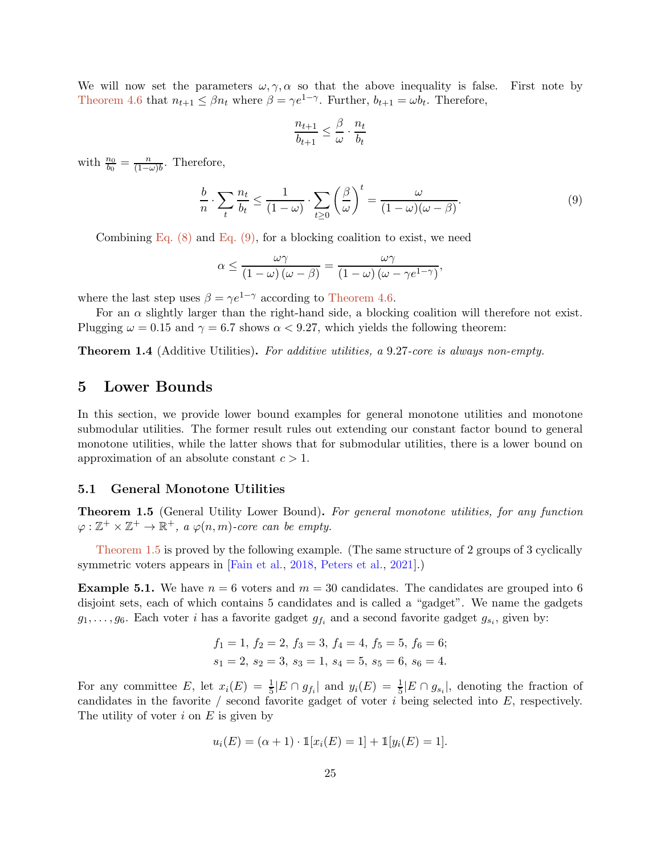We will now set the parameters  $\omega, \gamma, \alpha$  so that the above inequality is false. First note by [Theorem 4.6](#page-21-2) that  $n_{t+1} \leq \beta n_t$  where  $\beta = \gamma e^{1-\gamma}$ . Further,  $b_{t+1} = \omega b_t$ . Therefore,

$$
\frac{n_{t+1}}{b_{t+1}} \leq \frac{\beta}{\omega} \cdot \frac{n_t}{b_t}
$$

with  $\frac{n_0}{b_0} = \frac{n}{(1-\alpha)}$  $\frac{n}{(1-\omega)b}$ . Therefore,

<span id="page-24-1"></span>
$$
\frac{b}{n} \cdot \sum_{t} \frac{n_t}{b_t} \le \frac{1}{(1-\omega)} \cdot \sum_{t \ge 0} \left(\frac{\beta}{\omega}\right)^t = \frac{\omega}{(1-\omega)(\omega-\beta)}.
$$
\n(9)

Combining Eq.  $(8)$  and Eq.  $(9)$ , for a blocking coalition to exist, we need

$$
\alpha \le \frac{\omega \gamma}{\left(1 - \omega\right) \left(\omega - \beta\right)} = \frac{\omega \gamma}{\left(1 - \omega\right) \left(\omega - \gamma e^{1 - \gamma}\right)},
$$

where the last step uses  $\beta = \gamma e^{1-\gamma}$  according to [Theorem 4.6.](#page-21-2)

For an  $\alpha$  slightly larger than the right-hand side, a blocking coalition will therefore not exist. Plugging  $\omega = 0.15$  and  $\gamma = 6.7$  shows  $\alpha < 9.27$ , which yields the following theorem:

Theorem 1.4 (Additive Utilities). *For additive utilities, a* 9.27*-core is always non-empty.*

# <span id="page-24-0"></span>5 Lower Bounds

In this section, we provide lower bound examples for general monotone utilities and monotone submodular utilities. The former result rules out extending our constant factor bound to general monotone utilities, while the latter shows that for submodular utilities, there is a lower bound on approximation of an absolute constant  $c > 1$ .

### 5.1 General Monotone Utilities

Theorem 1.5 (General Utility Lower Bound). *For general monotone utilities, for any function*  $\varphi : \mathbb{Z}^+ \times \mathbb{Z}^+ \to \mathbb{R}^+,$  a  $\varphi(n,m)$ -core can be empty.

<span id="page-24-2"></span>[Theorem 1.5](#page-2-3) is proved by the following example. (The same structure of 2 groups of 3 cyclically symmetric voters appears in [Fain et al., 2018, Peters et al., 2021].)

**Example 5.1.** We have  $n = 6$  voters and  $m = 30$  candidates. The candidates are grouped into 6 disjoint sets, each of which contains 5 candidates and is called a "gadget". We name the gadgets  $g_1, \ldots, g_6$ . Each voter *i* has a favorite gadget  $g_{f_i}$  and a second favorite gadget  $g_{s_i}$ , given by:

$$
f_1 = 1
$$
,  $f_2 = 2$ ,  $f_3 = 3$ ,  $f_4 = 4$ ,  $f_5 = 5$ ,  $f_6 = 6$ ;  
 $s_1 = 2$ ,  $s_2 = 3$ ,  $s_3 = 1$ ,  $s_4 = 5$ ,  $s_5 = 6$ ,  $s_6 = 4$ .

For any committee E, let  $x_i(E) = \frac{1}{5} |E \cap g_{f_i}|$  and  $y_i(E) = \frac{1}{5} |E \cap g_{s_i}|$ , denoting the fraction of candidates in the favorite / second favorite gadget of voter  $i$  being selected into  $E$ , respectively. The utility of voter  $i$  on  $E$  is given by

$$
u_i(E) = (\alpha + 1) \cdot \mathbb{1}[x_i(E) = 1] + \mathbb{1}[y_i(E) = 1].
$$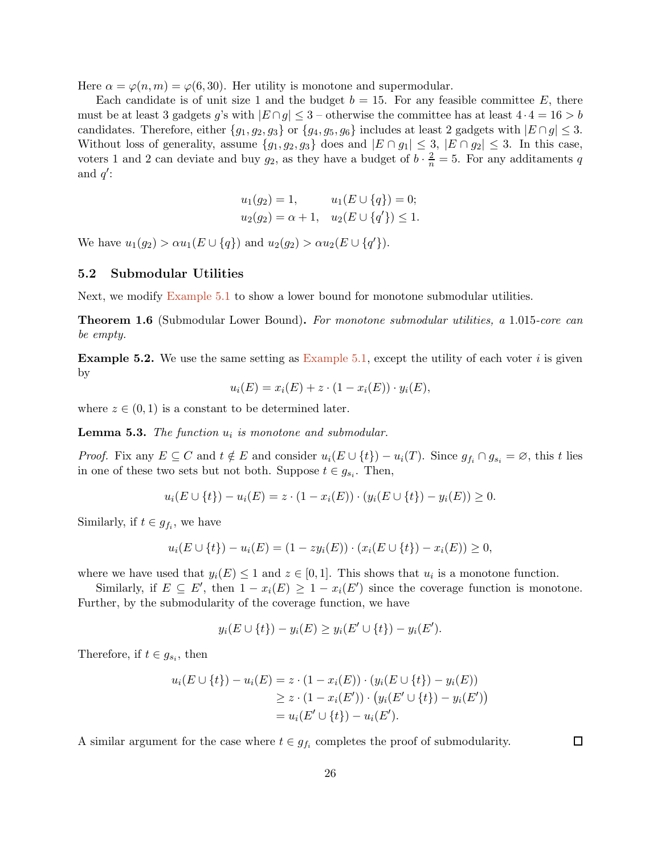Here  $\alpha = \varphi(n,m) = \varphi(6,30)$ . Her utility is monotone and supermodular.

Each candidate is of unit size 1 and the budget  $b = 15$ . For any feasible committee E, there must be at least 3 gadgets g's with  $|E \cap g| \leq 3$  – otherwise the committee has at least  $4 \cdot 4 = 16 > b$ candidates. Therefore, either  $\{g_1, g_2, g_3\}$  or  $\{g_4, g_5, g_6\}$  includes at least 2 gadgets with  $|E \cap g| \leq 3$ . Without loss of generality, assume  $\{g_1, g_2, g_3\}$  does and  $|E \cap g_1| \leq 3$ ,  $|E \cap g_2| \leq 3$ . In this case, voters 1 and 2 can deviate and buy  $g_2$ , as they have a budget of  $b \cdot \frac{2}{n} = 5$ . For any additaments q and  $q'$ :

$$
u_1(g_2) = 1,
$$
  $u_1(E \cup \{q\}) = 0;$   
 $u_2(g_2) = \alpha + 1,$   $u_2(E \cup \{q'\}) \le 1.$ 

We have  $u_1(g_2) > \alpha u_1(E \cup \{q\})$  and  $u_2(g_2) > \alpha u_2(E \cup \{q'\})$ .

# 5.2 Submodular Utilities

Next, we modify [Example 5.1](#page-24-2) to show a lower bound for monotone submodular utilities.

Theorem 1.6 (Submodular Lower Bound). *For monotone submodular utilities, a* 1.015*-core can be empty.*

**Example 5.2.** We use the same setting as [Example 5.1,](#page-24-2) except the utility of each voter i is given by

$$
u_i(E) = x_i(E) + z \cdot (1 - x_i(E)) \cdot y_i(E),
$$

where  $z \in (0,1)$  is a constant to be determined later.

Lemma 5.3. *The function* u<sup>i</sup> *is monotone and submodular.*

*Proof.* Fix any  $E \subseteq C$  and  $t \notin E$  and consider  $u_i(E \cup \{t\}) - u_i(T)$ . Since  $g_{f_i} \cap g_{s_i} = \emptyset$ , this t lies in one of these two sets but not both. Suppose  $t \in g_{s_i}$ . Then,

$$
u_i(E \cup \{t\}) - u_i(E) = z \cdot (1 - x_i(E)) \cdot (y_i(E \cup \{t\}) - y_i(E)) \ge 0.
$$

Similarly, if  $t \in g_{f_i}$ , we have

$$
u_i(E \cup \{t\}) - u_i(E) = (1 - zy_i(E)) \cdot (x_i(E \cup \{t\}) - x_i(E)) \ge 0,
$$

where we have used that  $y_i(E) \leq 1$  and  $z \in [0,1]$ . This shows that  $u_i$  is a monotone function.

Similarly, if  $E \subseteq E'$ , then  $1 - x_i(E) \geq 1 - x_i(E')$  since the coverage function is monotone. Further, by the submodularity of the coverage function, we have

$$
y_i(E \cup \{t\}) - y_i(E) \ge y_i(E' \cup \{t\}) - y_i(E').
$$

Therefore, if  $t \in g_{s_i}$ , then

$$
u_i(E \cup \{t\}) - u_i(E) = z \cdot (1 - x_i(E)) \cdot (y_i(E \cup \{t\}) - y_i(E))
$$
  
\n
$$
\geq z \cdot (1 - x_i(E')) \cdot (y_i(E' \cup \{t\}) - y_i(E'))
$$
  
\n
$$
= u_i(E' \cup \{t\}) - u_i(E').
$$

A similar argument for the case where  $t \in g_{f_i}$  completes the proof of submodularity.

 $\Box$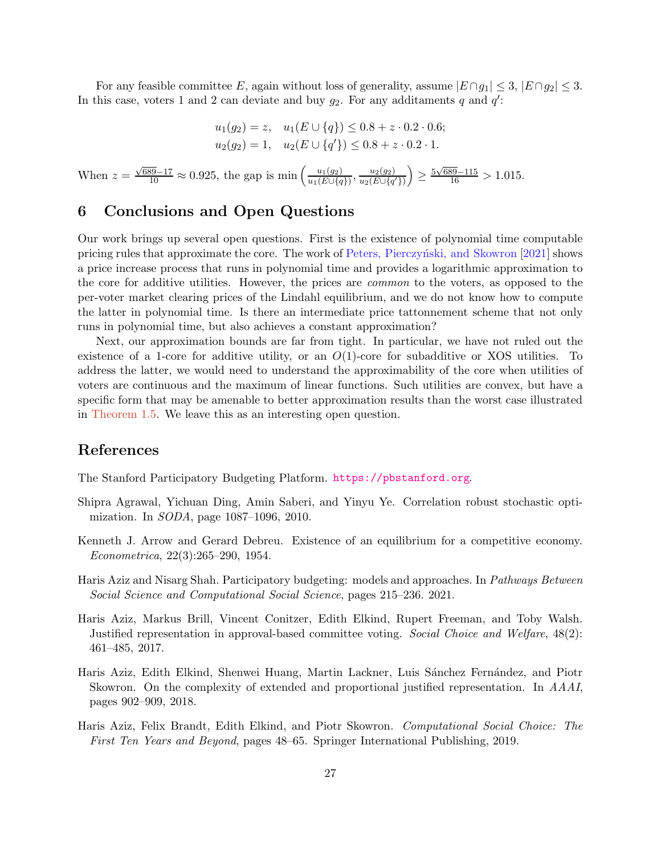For any feasible committee E, again without loss of generality, assume  $|E \cap g_1| \leq 3$ ,  $|E \cap g_2| \leq 3$ . In this case, voters 1 and 2 can deviate and buy  $g_2$ . For any additaments q and  $q'$ :

$$
u_1(g_2) = z, \quad u_1(E \cup \{q\}) \le 0.8 + z \cdot 0.2 \cdot 0.6;
$$
  

$$
u_2(g_2) = 1, \quad u_2(E \cup \{q'\}) \le 0.8 + z \cdot 0.2 \cdot 1.
$$

When  $z = \frac{\sqrt{689} - 17}{10} \approx 0.925$ , the gap is min  $\left(\frac{u_1(g_2)}{u_1(E) \cup \{q\}}\right)$  $\frac{u_1(g_2)}{u_1(E\cup\{q\})}, \frac{u_2(g_2)}{u_2(E\cup\{q\})}$  $u_2(E\cup\{q'\})$  $\left( \frac{5\sqrt{689}-115}{16} > 1.015. \right)$ 

# 6 Conclusions and Open Questions

Our work brings up several open questions. First is the existence of polynomial time computable pricing rules that approximate the core. The work of Peters, Pierczyński, and Skowron [2021] shows a price increase process that runs in polynomial time and provides a logarithmic approximation to the core for additive utilities. However, the prices are *common* to the voters, as opposed to the per-voter market clearing prices of the Lindahl equilibrium, and we do not know how to compute the latter in polynomial time. Is there an intermediate price tattonnement scheme that not only runs in polynomial time, but also achieves a constant approximation?

Next, our approximation bounds are far from tight. In particular, we have not ruled out the existence of a 1-core for additive utility, or an  $O(1)$ -core for subadditive or XOS utilities. To address the latter, we would need to understand the approximability of the core when utilities of voters are continuous and the maximum of linear functions. Such utilities are convex, but have a specific form that may be amenable to better approximation results than the worst case illustrated in [Theorem 1.5.](#page-2-3) We leave this as an interesting open question.

# References

<span id="page-26-1"></span>The Stanford Participatory Budgeting Platform. <https://pbstanford.org>.

- <span id="page-26-6"></span>Shipra Agrawal, Yichuan Ding, Amin Saberi, and Yinyu Ye. Correlation robust stochastic optimization. In *SODA*, page 1087–1096, 2010.
- <span id="page-26-5"></span>Kenneth J. Arrow and Gerard Debreu. Existence of an equilibrium for a competitive economy. *Econometrica*, 22(3):265–290, 1954.
- <span id="page-26-0"></span>Haris Aziz and Nisarg Shah. Participatory budgeting: models and approaches. In *Pathways Between Social Science and Computational Social Science*, pages 215–236. 2021.
- <span id="page-26-3"></span>Haris Aziz, Markus Brill, Vincent Conitzer, Edith Elkind, Rupert Freeman, and Toby Walsh. Justified representation in approval-based committee voting. *Social Choice and Welfare*, 48(2): 461–485, 2017.
- <span id="page-26-4"></span>Haris Aziz, Edith Elkind, Shenwei Huang, Martin Lackner, Luis Sánchez Fernández, and Piotr Skowron. On the complexity of extended and proportional justified representation. In *AAAI*, pages 902–909, 2018.
- <span id="page-26-2"></span>Haris Aziz, Felix Brandt, Edith Elkind, and Piotr Skowron. *Computational Social Choice: The First Ten Years and Beyond*, pages 48–65. Springer International Publishing, 2019.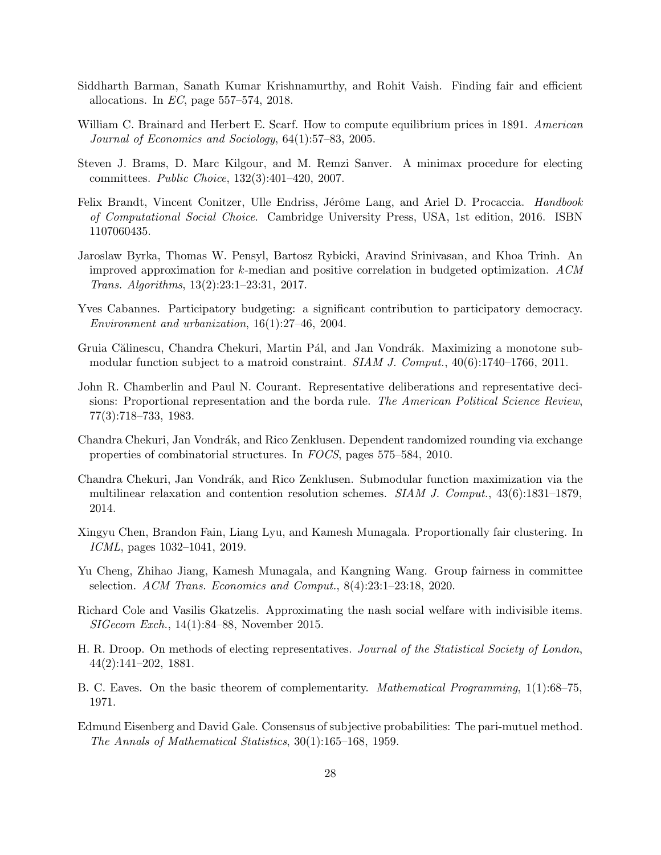- <span id="page-27-11"></span>Siddharth Barman, Sanath Kumar Krishnamurthy, and Rohit Vaish. Finding fair and efficient allocations. In *EC*, page 557–574, 2018.
- <span id="page-27-7"></span>William C. Brainard and Herbert E. Scarf. How to compute equilibrium prices in 1891. *American Journal of Economics and Sociology*, 64(1):57–83, 2005.
- <span id="page-27-6"></span>Steven J. Brams, D. Marc Kilgour, and M. Remzi Sanver. A minimax procedure for electing committees. *Public Choice*, 132(3):401–420, 2007.
- <span id="page-27-1"></span>Felix Brandt, Vincent Conitzer, Ulle Endriss, Jérôme Lang, and Ariel D. Procaccia. *Handbook of Computational Social Choice*. Cambridge University Press, USA, 1st edition, 2016. ISBN 1107060435.
- Jaroslaw Byrka, Thomas W. Pensyl, Bartosz Rybicki, Aravind Srinivasan, and Khoa Trinh. An improved approximation for k-median and positive correlation in budgeted optimization. *ACM Trans. Algorithms*, 13(2):23:1–23:31, 2017.
- <span id="page-27-0"></span>Yves Cabannes. Participatory budgeting: a significant contribution to participatory democracy. *Environment and urbanization*, 16(1):27–46, 2004.
- <span id="page-27-4"></span>Gruia Călinescu, Chandra Chekuri, Martin Pál, and Jan Vondrák. Maximizing a monotone submodular function subject to a matroid constraint. *SIAM J. Comput.*, 40(6):1740–1766, 2011.
- <span id="page-27-2"></span>John R. Chamberlin and Paul N. Courant. Representative deliberations and representative decisions: Proportional representation and the borda rule. *The American Political Science Review*, 77(3):718–733, 1983.
- <span id="page-27-5"></span>Chandra Chekuri, Jan Vondrák, and Rico Zenklusen. Dependent randomized rounding via exchange properties of combinatorial structures. In *FOCS*, pages 575–584, 2010.
- <span id="page-27-10"></span>Chandra Chekuri, Jan Vondrák, and Rico Zenklusen. Submodular function maximization via the multilinear relaxation and contention resolution schemes. *SIAM J. Comput.*, 43(6):1831–1879, 2014.
- <span id="page-27-9"></span>Xingyu Chen, Brandon Fain, Liang Lyu, and Kamesh Munagala. Proportionally fair clustering. In *ICML*, pages 1032–1041, 2019.
- Yu Cheng, Zhihao Jiang, Kamesh Munagala, and Kangning Wang. Group fairness in committee selection. *ACM Trans. Economics and Comput.*, 8(4):23:1–23:18, 2020.
- <span id="page-27-12"></span>Richard Cole and Vasilis Gkatzelis. Approximating the nash social welfare with indivisible items. *SIGecom Exch.*, 14(1):84–88, November 2015.
- <span id="page-27-3"></span>H. R. Droop. On methods of electing representatives. *Journal of the Statistical Society of London*, 44(2):141–202, 1881.
- <span id="page-27-13"></span>B. C. Eaves. On the basic theorem of complementarity. *Mathematical Programming*, 1(1):68–75, 1971.
- <span id="page-27-8"></span>Edmund Eisenberg and David Gale. Consensus of subjective probabilities: The pari-mutuel method. *The Annals of Mathematical Statistics*, 30(1):165–168, 1959.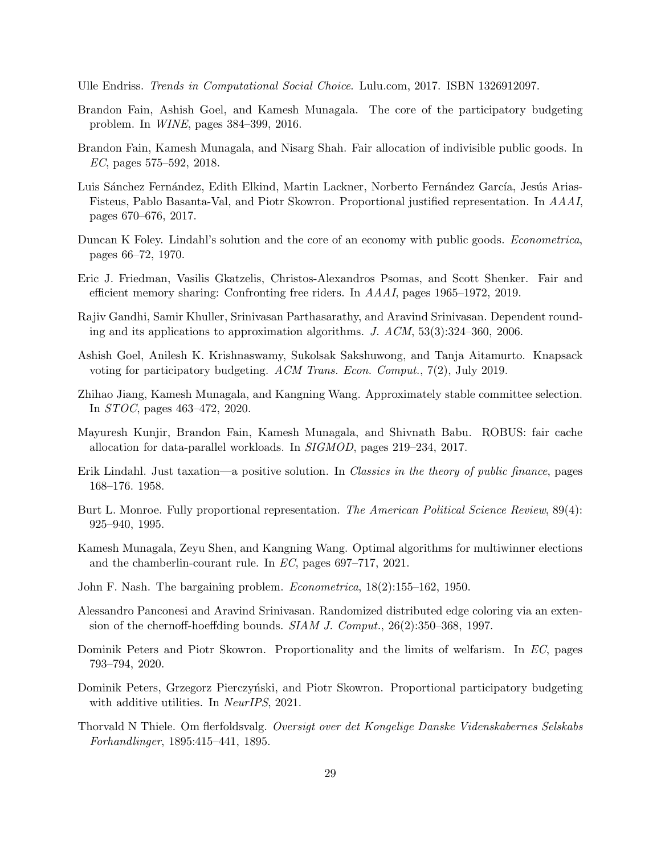<span id="page-28-1"></span>Ulle Endriss. *Trends in Computational Social Choice*. Lulu.com, 2017. ISBN 1326912097.

- Brandon Fain, Ashish Goel, and Kamesh Munagala. The core of the participatory budgeting problem. In *WINE*, pages 384–399, 2016.
- Brandon Fain, Kamesh Munagala, and Nisarg Shah. Fair allocation of indivisible public goods. In *EC*, pages 575–592, 2018.
- <span id="page-28-5"></span>Luis Sánchez Fernández, Edith Elkind, Martin Lackner, Norberto Fernández García, Jesús Arias-Fisteus, Pablo Basanta-Val, and Piotr Skowron. Proportional justified representation. In *AAAI*, pages 670–676, 2017.
- <span id="page-28-4"></span>Duncan K Foley. Lindahl's solution and the core of an economy with public goods. *Econometrica*, pages 66–72, 1970.
- <span id="page-28-10"></span>Eric J. Friedman, Vasilis Gkatzelis, Christos-Alexandros Psomas, and Scott Shenker. Fair and efficient memory sharing: Confronting free riders. In *AAAI*, pages 1965–1972, 2019.
- <span id="page-28-7"></span>Rajiv Gandhi, Samir Khuller, Srinivasan Parthasarathy, and Aravind Srinivasan. Dependent rounding and its applications to approximation algorithms. *J. ACM*, 53(3):324–360, 2006.
- <span id="page-28-0"></span>Ashish Goel, Anilesh K. Krishnaswamy, Sukolsak Sakshuwong, and Tanja Aitamurto. Knapsack voting for participatory budgeting. *ACM Trans. Econ. Comput.*, 7(2), July 2019.
- Zhihao Jiang, Kamesh Munagala, and Kangning Wang. Approximately stable committee selection. In *STOC*, pages 463–472, 2020.
- <span id="page-28-9"></span>Mayuresh Kunjir, Brandon Fain, Kamesh Munagala, and Shivnath Babu. ROBUS: fair cache allocation for data-parallel workloads. In *SIGMOD*, pages 219–234, 2017.
- <span id="page-28-3"></span>Erik Lindahl. Just taxation—a positive solution. In *Classics in the theory of public finance*, pages 168–176. 1958.
- <span id="page-28-8"></span>Burt L. Monroe. Fully proportional representation. *The American Political Science Review*, 89(4): 925–940, 1995.
- Kamesh Munagala, Zeyu Shen, and Kangning Wang. Optimal algorithms for multiwinner elections and the chamberlin-courant rule. In *EC*, pages 697–717, 2021.
- <span id="page-28-6"></span>John F. Nash. The bargaining problem. *Econometrica*, 18(2):155–162, 1950.
- <span id="page-28-12"></span>Alessandro Panconesi and Aravind Srinivasan. Randomized distributed edge coloring via an extension of the chernoff-hoeffding bounds. *SIAM J. Comput.*, 26(2):350–368, 1997.
- <span id="page-28-11"></span>Dominik Peters and Piotr Skowron. Proportionality and the limits of welfarism. In *EC*, pages 793–794, 2020.
- Dominik Peters, Grzegorz Pierczyński, and Piotr Skowron. Proportional participatory budgeting with additive utilities. In *NeurIPS*, 2021.
- <span id="page-28-2"></span>Thorvald N Thiele. Om flerfoldsvalg. *Oversigt over det Kongelige Danske Videnskabernes Selskabs Forhandlinger*, 1895:415–441, 1895.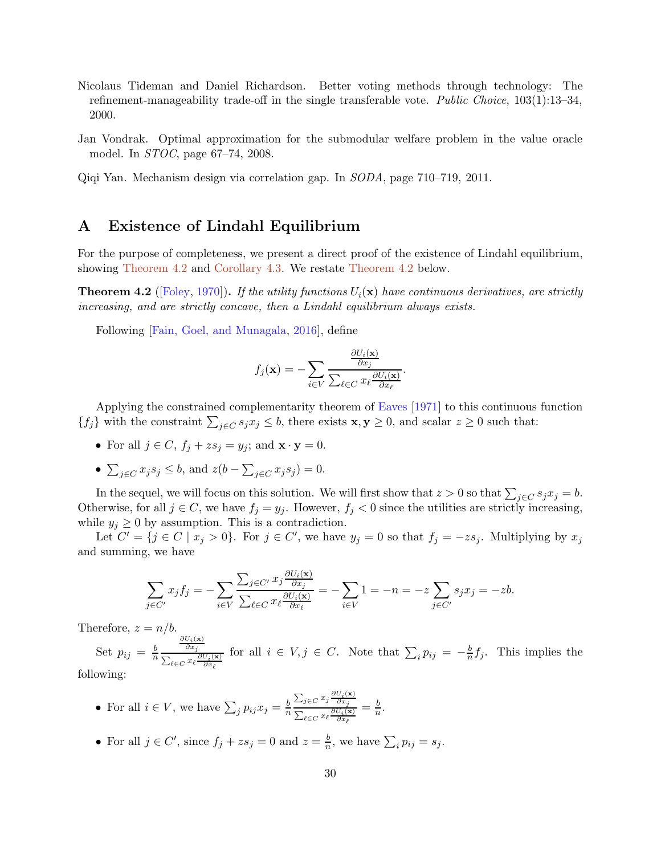- <span id="page-29-0"></span>Nicolaus Tideman and Daniel Richardson. Better voting methods through technology: The refinement-manageability trade-off in the single transferable vote. *Public Choice*, 103(1):13–34, 2000.
- <span id="page-29-1"></span>Jan Vondrak. Optimal approximation for the submodular welfare problem in the value oracle model. In *STOC*, page 67–74, 2008.
- <span id="page-29-2"></span>Qiqi Yan. Mechanism design via correlation gap. In *SODA*, page 710–719, 2011.

# <span id="page-29-3"></span>A Existence of Lindahl Equilibrium

For the purpose of completeness, we present a direct proof of the existence of Lindahl equilibrium, showing [Theorem 4.2](#page-19-2) and [Corollary 4.3.](#page-19-3) We restate [Theorem 4.2](#page-19-2) below.

**Theorem 4.2** ([\[Foley](#page-28-4), [1970\]](#page-28-4)). *If the utility functions*  $U_i(\mathbf{x})$  *have continuous derivatives, are strictly increasing, and are strictly concave, then a Lindahl equilibrium always exists.*

Following [Fain, Goel, and Munagala, 2016], define

$$
f_j(\mathbf{x}) = -\sum_{i \in V} \frac{\frac{\partial U_i(\mathbf{x})}{\partial x_j}}{\sum_{\ell \in C} x_{\ell} \frac{\partial U_i(\mathbf{x})}{\partial x_{\ell}}}.
$$

Applying the constrained complementarity theorem of [Eaves](#page-27-13) [\[1971\]](#page-27-13) to this continuous function  $\{f_j\}$  with the constraint  $\sum_{j\in C} s_j x_j \leq b$ , there exists  $\mathbf{x}, \mathbf{y} \geq 0$ , and scalar  $z \geq 0$  such that:

- For all  $j \in C$ ,  $f_j + zs_j = y_j$ ; and  $\mathbf{x} \cdot \mathbf{y} = 0$ .
- $\sum_{j \in C} x_j s_j \leq b$ , and  $z(b \sum_{j \in C} x_j s_j) = 0$ .

In the sequel, we will focus on this solution. We will first show that  $z > 0$  so that  $\sum_{j \in C} s_j x_j = b$ . Otherwise, for all  $j \in C$ , we have  $f_j = y_j$ . However,  $f_j < 0$  since the utilities are strictly increasing, while  $y_j \geq 0$  by assumption. This is a contradiction.

Let  $C' = \{j \in C \mid x_j > 0\}$ . For  $j \in C'$ , we have  $y_j = 0$  so that  $f_j = -zs_j$ . Multiplying by  $x_j$ and summing, we have

$$
\sum_{j \in C'} x_j f_j = -\sum_{i \in V} \frac{\sum_{j \in C'} x_j \frac{\partial U_i(\mathbf{x})}{\partial x_j}}{\sum_{\ell \in C} x_\ell \frac{\partial U_i(\mathbf{x})}{\partial x_\ell}} = -\sum_{i \in V} 1 = -n = -z \sum_{j \in C'} s_j x_j = -zb.
$$

Therefore,  $z = n/b$ .

Set  $p_{ij} = \frac{b}{n}$ n  $\frac{\partial U_{\bm{i}}(\mathbf{x})}{\partial x_j}$  $\sum_{\ell\in C} x_\ell\frac{\partial U_i(\mathbf{x})}{\partial x_\ell}$ for all  $i \in V, j \in C$ . Note that  $\sum_i p_{ij} = -\frac{b}{n}$  $\frac{b}{n}f_j$ . This implies the

following:

- For all  $i \in V$ , we have  $\sum_j p_{ij} x_j = \frac{b}{n}$  $\overline{n}$  $\sum_{j\in C} x_j \frac{\partial U_i(\mathbf{x})}{\partial x_j}$  $\sum_{\ell\in C} x_\ell\frac{\partial U_i(\mathbf{x})}{\partial x_\ell}$  $=\frac{b}{n}$  $\frac{b}{n}$ .
- For all  $j \in C'$ , since  $f_j + zs_j = 0$  and  $z = \frac{b}{n}$  $\frac{b}{n}$ , we have  $\sum_i p_{ij} = s_j$ .